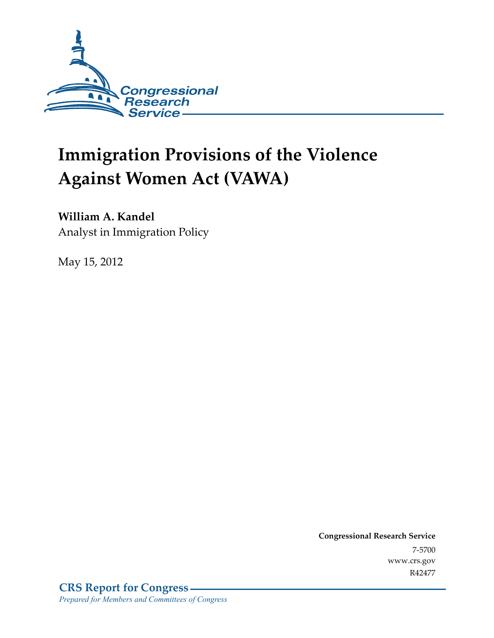

# **Immigration Provisions of the Violence Against Women Act (VAWA)**

## **William A. Kandel**

Analyst in Immigration Policy

May 15, 2012

**Congressional Research Service**  7-5700 www.crs.gov R42477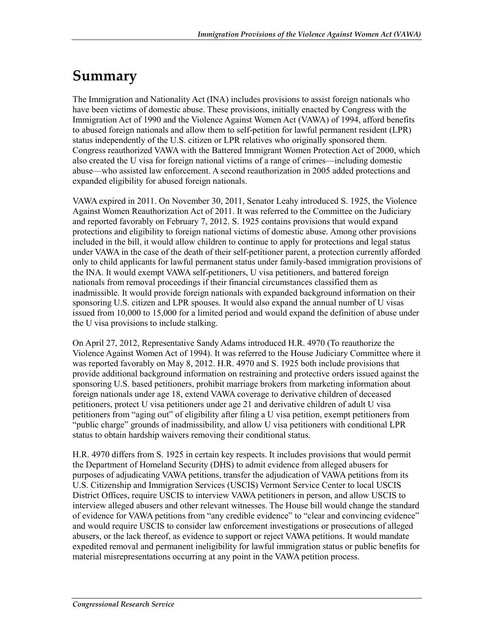## **Summary**

The Immigration and Nationality Act (INA) includes provisions to assist foreign nationals who have been victims of domestic abuse. These provisions, initially enacted by Congress with the Immigration Act of 1990 and the Violence Against Women Act (VAWA) of 1994, afford benefits to abused foreign nationals and allow them to self-petition for lawful permanent resident (LPR) status independently of the U.S. citizen or LPR relatives who originally sponsored them. Congress reauthorized VAWA with the Battered Immigrant Women Protection Act of 2000, which also created the U visa for foreign national victims of a range of crimes—including domestic abuse—who assisted law enforcement. A second reauthorization in 2005 added protections and expanded eligibility for abused foreign nationals.

VAWA expired in 2011. On November 30, 2011, Senator Leahy introduced S. 1925, the Violence Against Women Reauthorization Act of 2011. It was referred to the Committee on the Judiciary and reported favorably on February 7, 2012. S. 1925 contains provisions that would expand protections and eligibility to foreign national victims of domestic abuse. Among other provisions included in the bill, it would allow children to continue to apply for protections and legal status under VAWA in the case of the death of their self-petitioner parent, a protection currently afforded only to child applicants for lawful permanent status under family-based immigration provisions of the INA. It would exempt VAWA self-petitioners, U visa petitioners, and battered foreign nationals from removal proceedings if their financial circumstances classified them as inadmissible. It would provide foreign nationals with expanded background information on their sponsoring U.S. citizen and LPR spouses. It would also expand the annual number of U visas issued from 10,000 to 15,000 for a limited period and would expand the definition of abuse under the U visa provisions to include stalking.

On April 27, 2012, Representative Sandy Adams introduced H.R. 4970 (To reauthorize the Violence Against Women Act of 1994). It was referred to the House Judiciary Committee where it was reported favorably on May 8, 2012. H.R. 4970 and S. 1925 both include provisions that provide additional background information on restraining and protective orders issued against the sponsoring U.S. based petitioners, prohibit marriage brokers from marketing information about foreign nationals under age 18, extend VAWA coverage to derivative children of deceased petitioners, protect U visa petitioners under age 21 and derivative children of adult U visa petitioners from "aging out" of eligibility after filing a U visa petition, exempt petitioners from "public charge" grounds of inadmissibility, and allow U visa petitioners with conditional LPR status to obtain hardship waivers removing their conditional status.

H.R. 4970 differs from S. 1925 in certain key respects. It includes provisions that would permit the Department of Homeland Security (DHS) to admit evidence from alleged abusers for purposes of adjudicating VAWA petitions, transfer the adjudication of VAWA petitions from its U.S. Citizenship and Immigration Services (USCIS) Vermont Service Center to local USCIS District Offices, require USCIS to interview VAWA petitioners in person, and allow USCIS to interview alleged abusers and other relevant witnesses. The House bill would change the standard of evidence for VAWA petitions from "any credible evidence" to "clear and convincing evidence" and would require USCIS to consider law enforcement investigations or prosecutions of alleged abusers, or the lack thereof, as evidence to support or reject VAWA petitions. It would mandate expedited removal and permanent ineligibility for lawful immigration status or public benefits for material misrepresentations occurring at any point in the VAWA petition process.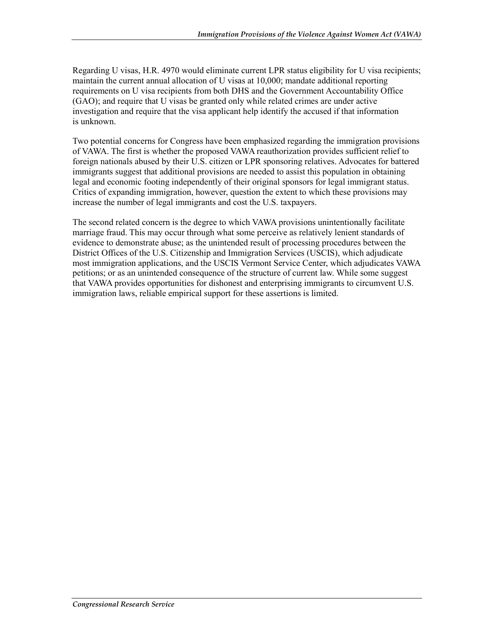Regarding U visas, H.R. 4970 would eliminate current LPR status eligibility for U visa recipients; maintain the current annual allocation of U visas at 10,000; mandate additional reporting requirements on U visa recipients from both DHS and the Government Accountability Office (GAO); and require that U visas be granted only while related crimes are under active investigation and require that the visa applicant help identify the accused if that information is unknown.

Two potential concerns for Congress have been emphasized regarding the immigration provisions of VAWA. The first is whether the proposed VAWA reauthorization provides sufficient relief to foreign nationals abused by their U.S. citizen or LPR sponsoring relatives. Advocates for battered immigrants suggest that additional provisions are needed to assist this population in obtaining legal and economic footing independently of their original sponsors for legal immigrant status. Critics of expanding immigration, however, question the extent to which these provisions may increase the number of legal immigrants and cost the U.S. taxpayers.

The second related concern is the degree to which VAWA provisions unintentionally facilitate marriage fraud. This may occur through what some perceive as relatively lenient standards of evidence to demonstrate abuse; as the unintended result of processing procedures between the District Offices of the U.S. Citizenship and Immigration Services (USCIS), which adjudicate most immigration applications, and the USCIS Vermont Service Center, which adjudicates VAWA petitions; or as an unintended consequence of the structure of current law. While some suggest that VAWA provides opportunities for dishonest and enterprising immigrants to circumvent U.S. immigration laws, reliable empirical support for these assertions is limited.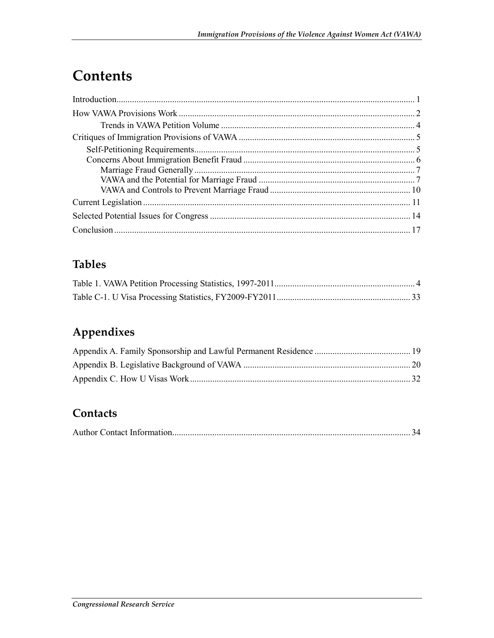## **Contents**

## **Tables**

## Appendixes

## Contacts

|--|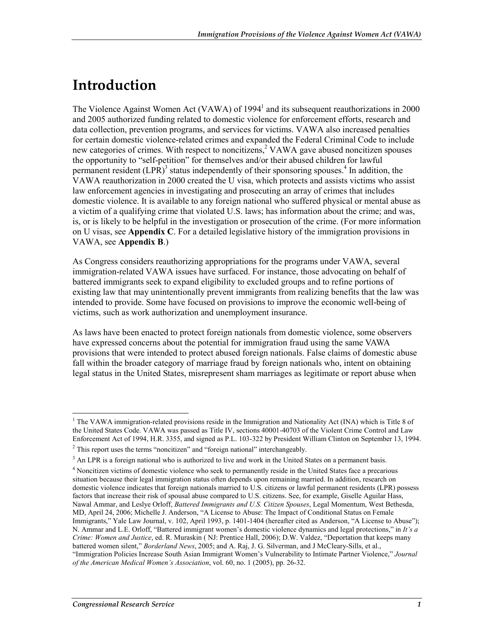## **Introduction**

The Violence Against Women Act (VAWA) of 1994<sup>1</sup> and its subsequent reauthorizations in 2000 and 2005 authorized funding related to domestic violence for enforcement efforts, research and data collection, prevention programs, and services for victims. VAWA also increased penalties for certain domestic violence-related crimes and expanded the Federal Criminal Code to include new categories of crimes. With respect to noncitizens,<sup>2</sup> VAWA gave abused noncitizen spouses the opportunity to "self-petition" for themselves and/or their abused children for lawful permanent resident  $(LPR)^3$  status independently of their sponsoring spouses.<sup>4</sup> In addition, the VAWA reauthorization in 2000 created the U visa, which protects and assists victims who assist law enforcement agencies in investigating and prosecuting an array of crimes that includes domestic violence. It is available to any foreign national who suffered physical or mental abuse as a victim of a qualifying crime that violated U.S. laws; has information about the crime; and was, is, or is likely to be helpful in the investigation or prosecution of the crime. (For more information on U visas, see **Appendix C**. For a detailed legislative history of the immigration provisions in VAWA, see **Appendix B**.)

As Congress considers reauthorizing appropriations for the programs under VAWA, several immigration-related VAWA issues have surfaced. For instance, those advocating on behalf of battered immigrants seek to expand eligibility to excluded groups and to refine portions of existing law that may unintentionally prevent immigrants from realizing benefits that the law was intended to provide. Some have focused on provisions to improve the economic well-being of victims, such as work authorization and unemployment insurance.

As laws have been enacted to protect foreign nationals from domestic violence, some observers have expressed concerns about the potential for immigration fraud using the same VAWA provisions that were intended to protect abused foreign nationals. False claims of domestic abuse fall within the broader category of marriage fraud by foreign nationals who, intent on obtaining legal status in the United States, misrepresent sham marriages as legitimate or report abuse when

<sup>&</sup>lt;sup>1</sup> The VAWA immigration-related provisions reside in the Immigration and Nationality Act (INA) which is Title 8 of the United States Code. VAWA was passed as Title IV, sections 40001-40703 of the Violent Crime Control and Law Enforcement Act of 1994, H.R. 3355, and signed as P.L. 103-322 by President William Clinton on September 13, 1994.

 $2$  This report uses the terms "noncitizen" and "foreign national" interchangeably.

<sup>&</sup>lt;sup>3</sup> An LPR is a foreign national who is authorized to live and work in the United States on a permanent basis.

<sup>&</sup>lt;sup>4</sup> Noncitizen victims of domestic violence who seek to permanently reside in the United States face a precarious situation because their legal immigration status often depends upon remaining married. In addition, research on domestic violence indicates that foreign nationals married to U.S. citizens or lawful permanent residents (LPR) possess factors that increase their risk of spousal abuse compared to U.S. citizens. See, for example, Giselle Aguilar Hass, Nawal Ammar, and Leslye Orloff, *Battered Immigrants and U.S. Citizen Spouses*, Legal Momentum, West Bethesda, MD, April 24, 2006; Michelle J. Anderson, "A License to Abuse: The Impact of Conditional Status on Female Immigrants," Yale Law Journal, v. 102, April 1993, p. 1401-1404 (hereafter cited as Anderson, "A License to Abuse"); N. Ammar and L.E. Orloff, "Battered immigrant women's domestic violence dynamics and legal protections," in *It's a Crime: Women and Justice*, ed. R. Muraskin ( NJ: Prentice Hall, 2006); D.W. Valdez, "Deportation that keeps many battered women silent," *Borderland News*, 2005; and A. Raj, J. G. Silverman, and J McCleary-Sills, et al., "Immigration Policies Increase South Asian Immigrant Women's Vulnerability to Intimate Partner Violence," *Journal of the American Medical Women's Association*, vol. 60, no. 1 (2005), pp. 26-32.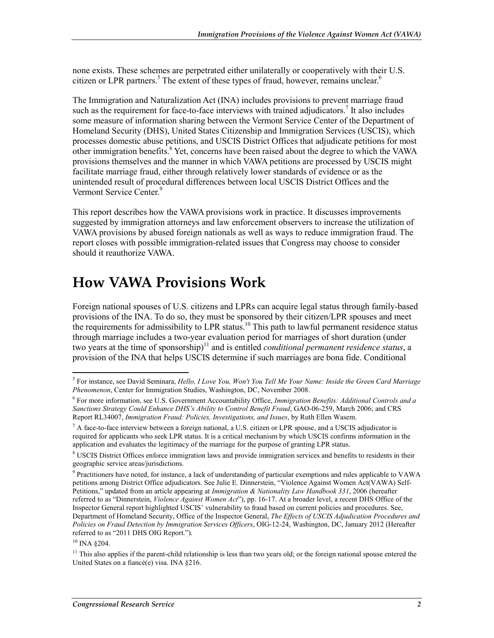none exists. These schemes are perpetrated either unilaterally or cooperatively with their U.S. citizen or LPR partners.<sup>5</sup> The extent of these types of fraud, however, remains unclear.<sup>6</sup>

The Immigration and Naturalization Act (INA) includes provisions to prevent marriage fraud such as the requirement for face-to-face interviews with trained adjudicators.<sup>7</sup> It also includes some measure of information sharing between the Vermont Service Center of the Department of Homeland Security (DHS), United States Citizenship and Immigration Services (USCIS), which processes domestic abuse petitions, and USCIS District Offices that adjudicate petitions for most other immigration benefits. $8$  Yet, concerns have been raised about the degree to which the VAWA provisions themselves and the manner in which VAWA petitions are processed by USCIS might facilitate marriage fraud, either through relatively lower standards of evidence or as the unintended result of procedural differences between local USCIS District Offices and the Vermont Service Center.<sup>9</sup>

This report describes how the VAWA provisions work in practice. It discusses improvements suggested by immigration attorneys and law enforcement observers to increase the utilization of VAWA provisions by abused foreign nationals as well as ways to reduce immigration fraud. The report closes with possible immigration-related issues that Congress may choose to consider should it reauthorize VAWA.

## **How VAWA Provisions Work**

Foreign national spouses of U.S. citizens and LPRs can acquire legal status through family-based provisions of the INA. To do so, they must be sponsored by their citizen/LPR spouses and meet the requirements for admissibility to LPR status.<sup>10</sup> This path to lawful permanent residence status through marriage includes a two-year evaluation period for marriages of short duration (under two years at the time of sponsorship) $11$  and is entitled *conditional permanent residence status*, a provision of the INA that helps USCIS determine if such marriages are bona fide. Conditional

<u>.</u>

<sup>5</sup> For instance, see David Seminara, *Hello, I Love You, Won't You Tell Me Your Name: Inside the Green Card Marriage Phenomenon*, Center for Immigration Studies, Washington, DC, November 2008.

<sup>6</sup> For more information, see U.S. Government Accountability Office, *Immigration Benefits: Additional Controls and a Sanctions Strategy Could Enhance DHS's Ability to Control Benefit Fraud*, GAO-06-259, March 2006; and CRS Report RL34007, *Immigration Fraud: Policies, Investigations, and Issues*, by Ruth Ellen Wasem.

 $^7$  A face-to-face interview between a foreign national, a U.S. citizen or LPR spouse, and a USCIS adjudicator is required for applicants who seek LPR status. It is a critical mechanism by which USCIS confirms information in the application and evaluates the legitimacy of the marriage for the purpose of granting LPR status.

<sup>&</sup>lt;sup>8</sup> USCIS District Offices enforce immigration laws and provide immigration services and benefits to residents in their geographic service areas/jurisdictions.

<sup>&</sup>lt;sup>9</sup> Practitioners have noted, for instance, a lack of understanding of particular exemptions and rules applicable to VAWA petitions among District Office adjudicators. See Julie E. Dinnerstein, "Violence Against Women Act(VAWA) Self-Petitions," updated from an article appearing at *Immigration & Nationality Law Handbook 331*, 2006 (hereafter referred to as "Dinnerstein, *Violence Against Women Act*"), pp. 16-17. At a broader level, a recent DHS Office of the Inspector General report highlighted USCIS' vulnerability to fraud based on current policies and procedures. See, Department of Homeland Security, Office of the Inspector General, *The Effects of USCIS Adjudication Procedures and Policies on Fraud Detection by Immigration Services Officers*, OIG-12-24, Washington, DC, January 2012 (Hereafter referred to as "2011 DHS OIG Report.").

<sup>&</sup>lt;sup>10</sup> INA §204.

 $11$  This also applies if the parent-child relationship is less than two years old; or the foreign national spouse entered the United States on a fiancé(e) visa. INA §216.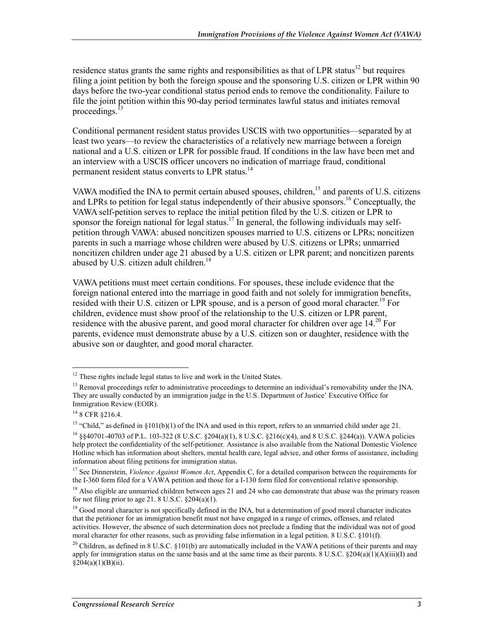residence status grants the same rights and responsibilities as that of LPR status<sup>12</sup> but requires filing a joint petition by both the foreign spouse and the sponsoring U.S. citizen or LPR within 90 days before the two-year conditional status period ends to remove the conditionality. Failure to file the joint petition within this 90-day period terminates lawful status and initiates removal proceedings. $<sup>1</sup>$ </sup>

Conditional permanent resident status provides USCIS with two opportunities—separated by at least two years—to review the characteristics of a relatively new marriage between a foreign national and a U.S. citizen or LPR for possible fraud. If conditions in the law have been met and an interview with a USCIS officer uncovers no indication of marriage fraud, conditional permanent resident status converts to LPR status.<sup>14</sup>

VAWA modified the INA to permit certain abused spouses, children,<sup>15</sup> and parents of U.S. citizens and LPRs to petition for legal status independently of their abusive sponsors.<sup>16</sup> Conceptually, the VAWA self-petition serves to replace the initial petition filed by the U.S. citizen or LPR to sponsor the foreign national for legal status.<sup>17</sup> In general, the following individuals may selfpetition through VAWA: abused noncitizen spouses married to U.S. citizens or LPRs; noncitizen parents in such a marriage whose children were abused by U.S. citizens or LPRs; unmarried noncitizen children under age 21 abused by a U.S. citizen or LPR parent; and noncitizen parents abused by U.S. citizen adult children.<sup>18</sup>

VAWA petitions must meet certain conditions. For spouses, these include evidence that the foreign national entered into the marriage in good faith and not solely for immigration benefits, resided with their U.S. citizen or LPR spouse, and is a person of good moral character.<sup>19</sup> For children, evidence must show proof of the relationship to the U.S. citizen or LPR parent, residence with the abusive parent, and good moral character for children over age  $14<sup>20</sup>$  For parents, evidence must demonstrate abuse by a U.S. citizen son or daughter, residence with the abusive son or daughter, and good moral character.

<sup>&</sup>lt;u>.</u>  $12$  These rights include legal status to live and work in the United States.

 $<sup>13</sup>$  Removal proceedings refer to administrative proceedings to determine an individual's removability under the INA.</sup> They are usually conducted by an immigration judge in the U.S. Department of Justice' Executive Office for Immigration Review (EOIR).

<sup>14 8</sup> CFR §216.4.

<sup>&</sup>lt;sup>15</sup> "Child," as defined in  $\S 101(b)(1)$  of the INA and used in this report, refers to an unmarried child under age 21.

<sup>16 §§40701-40703</sup> of P.L. 103-322 (8 U.S.C. §204(a)(1), 8 U.S.C. §216(c)(4), and 8 U.S.C. §244(a)). VAWA policies help protect the confidentiality of the self-petitioner. Assistance is also available from the National Domestic Violence Hotline which has information about shelters, mental health care, legal advice, and other forms of assistance, including information about filing petitions for immigration status.

<sup>&</sup>lt;sup>17</sup> See Dinnerstein, *Violence Against Women Act*, Appendix C, for a detailed comparison between the requirements for the I-360 form filed for a VAWA petition and those for a I-130 form filed for conventional relative sponsorship.

<sup>&</sup>lt;sup>18</sup> Also eligible are unmarried children between ages 21 and 24 who can demonstrate that abuse was the primary reason for not filing prior to age 21. 8 U.S.C.  $\S 204(a)(1)$ .

<sup>&</sup>lt;sup>19</sup> Good moral character is not specifically defined in the INA, but a determination of good moral character indicates that the petitioner for an immigration benefit must not have engaged in a range of crimes, offenses, and related activities. However, the absence of such determination does not preclude a finding that the individual was not of good moral character for other reasons, such as providing false information in a legal petition. 8 U.S.C. §101(f).

<sup>&</sup>lt;sup>20</sup> Children, as defined in 8 U.S.C. §101(b) are automatically included in the VAWA petitions of their parents and may apply for immigration status on the same basis and at the same time as their parents.  $\frac{8 \text{ U.S.C. } \frac{8204(a)(1)(\text{A})(\text{iii})(\text{I})}{\text{and}}$  $§204(a)(1)(B)(ii).$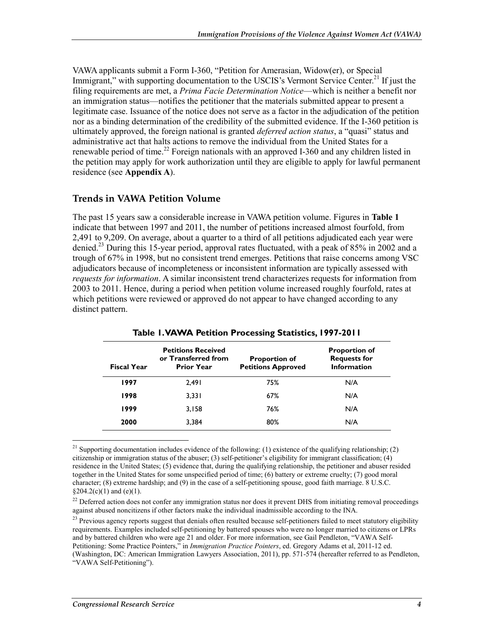VAWA applicants submit a Form I-360, "Petition for Amerasian, Widow(er), or Special Immigrant," with supporting documentation to the USCIS's Vermont Service Center.<sup>21</sup> If just the filing requirements are met, a *Prima Facie Determination Notice*—which is neither a benefit nor an immigration status—notifies the petitioner that the materials submitted appear to present a legitimate case. Issuance of the notice does not serve as a factor in the adjudication of the petition nor as a binding determination of the credibility of the submitted evidence. If the I-360 petition is ultimately approved, the foreign national is granted *deferred action status*, a "quasi" status and administrative act that halts actions to remove the individual from the United States for a renewable period of time.<sup>22</sup> Foreign nationals with an approved I-360 and any children listed in the petition may apply for work authorization until they are eligible to apply for lawful permanent residence (see **Appendix A**).

#### **Trends in VAWA Petition Volume**

The past 15 years saw a considerable increase in VAWA petition volume. Figures in **Table 1** indicate that between 1997 and 2011, the number of petitions increased almost fourfold, from 2,491 to 9,209. On average, about a quarter to a third of all petitions adjudicated each year were denied.23 During this 15-year period, approval rates fluctuated, with a peak of 85% in 2002 and a trough of 67% in 1998, but no consistent trend emerges. Petitions that raise concerns among VSC adjudicators because of incompleteness or inconsistent information are typically assessed with *requests for information*. A similar inconsistent trend characterizes requests for information from 2003 to 2011. Hence, during a period when petition volume increased roughly fourfold, rates at which petitions were reviewed or approved do not appear to have changed according to any distinct pattern.

| <b>Fiscal Year</b> | <b>Petitions Received</b><br>or Transferred from<br><b>Prior Year</b> | <b>Proportion of</b><br><b>Petitions Approved</b> | <b>Proportion of</b><br><b>Requests for</b><br><b>Information</b> |
|--------------------|-----------------------------------------------------------------------|---------------------------------------------------|-------------------------------------------------------------------|
| 1997               | 2.491                                                                 | 75%                                               | N/A                                                               |
| 1998               | 3.331                                                                 | 67%                                               | N/A                                                               |
| 1999               | 3,158                                                                 | 76%                                               | N/A                                                               |
| 2000               | 3.384                                                                 | 80%                                               | N/A                                                               |

#### **Table 1. VAWA Petition Processing Statistics, 1997-2011**

<u>.</u>

<sup>&</sup>lt;sup>21</sup> Supporting documentation includes evidence of the following: (1) existence of the qualifying relationship; (2) citizenship or immigration status of the abuser; (3) self-petitioner's eligibility for immigrant classification; (4) residence in the United States; (5) evidence that, during the qualifying relationship, the petitioner and abuser resided together in the United States for some unspecified period of time; (6) battery or extreme cruelty; (7) good moral character; (8) extreme hardship; and (9) in the case of a self-petitioning spouse, good faith marriage. 8 U.S.C.  $§204.2(c)(1)$  and  $(e)(1)$ .

<sup>&</sup>lt;sup>22</sup> Deferred action does not confer any immigration status nor does it prevent DHS from initiating removal proceedings against abused noncitizens if other factors make the individual inadmissible according to the INA.

<sup>&</sup>lt;sup>23</sup> Previous agency reports suggest that denials often resulted because self-petitioners failed to meet statutory eligibility requirements. Examples included self-petitioning by battered spouses who were no longer married to citizens or LPRs and by battered children who were age 21 and older. For more information, see Gail Pendleton, "VAWA Self-Petitioning: Some Practice Pointers," in *Immigration Practice Pointers*, ed. Gregory Adams et al, 2011-12 ed. (Washington, DC: American Immigration Lawyers Association, 2011), pp. 571-574 (hereafter referred to as Pendleton, "VAWA Self-Petitioning").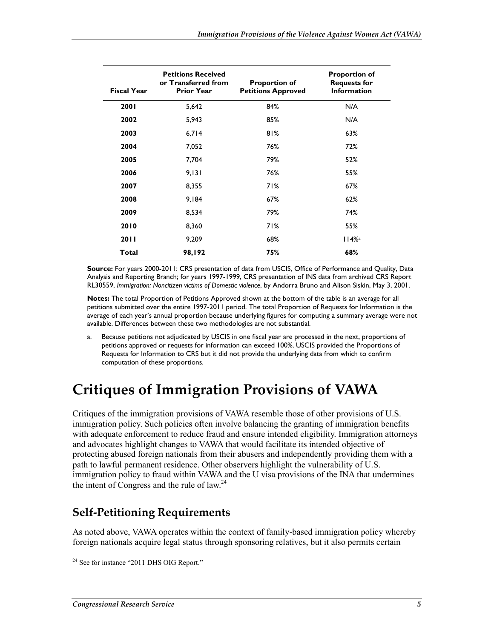| <b>Fiscal Year</b> | <b>Petitions Received</b><br>or Transferred from<br><b>Prior Year</b> | <b>Proportion of</b><br><b>Petitions Approved</b> | <b>Proportion of</b><br><b>Requests for</b><br><b>Information</b> |
|--------------------|-----------------------------------------------------------------------|---------------------------------------------------|-------------------------------------------------------------------|
| 2001               | 5,642                                                                 | 84%                                               | N/A                                                               |
| 2002               | 5,943                                                                 | 85%                                               | N/A                                                               |
| 2003               | 6,714                                                                 | 81%                                               | 63%                                                               |
| 2004               | 7,052                                                                 | 76%                                               | 72%                                                               |
| 2005               | 7,704                                                                 | 79%                                               | 52%                                                               |
| 2006               | 9,131                                                                 | 76%                                               | 55%                                                               |
| 2007               | 8,355                                                                 | 71%                                               | 67%                                                               |
| 2008               | 9,184                                                                 | 67%                                               | 62%                                                               |
| 2009               | 8,534                                                                 | 79%                                               | 74%                                                               |
| 2010               | 8,360                                                                 | 71%                                               | 55%                                                               |
| <b>2011</b>        | 9,209                                                                 | 68%                                               | 114%                                                              |
| Total              | 98,192                                                                | 75%                                               | 68%                                                               |

**Source:** For years 2000-2011: CRS presentation of data from USCIS, Office of Performance and Quality, Data Analysis and Reporting Branch; for years 1997-1999, CRS presentation of INS data from archived CRS Report RL30559, *Immigration: Noncitizen victims of Domestic violence*, by Andorra Bruno and Alison Siskin, May 3, 2001.

**Notes:** The total Proportion of Petitions Approved shown at the bottom of the table is an average for all petitions submitted over the entire 1997-2011 period. The total Proportion of Requests for Information is the average of each year's annual proportion because underlying figures for computing a summary average were not available. Differences between these two methodologies are not substantial.

a. Because petitions not adjudicated by USCIS in one fiscal year are processed in the next, proportions of petitions approved or requests for information can exceed 100%. USCIS provided the Proportions of Requests for Information to CRS but it did not provide the underlying data from which to confirm computation of these proportions.

## **Critiques of Immigration Provisions of VAWA**

Critiques of the immigration provisions of VAWA resemble those of other provisions of U.S. immigration policy. Such policies often involve balancing the granting of immigration benefits with adequate enforcement to reduce fraud and ensure intended eligibility. Immigration attorneys and advocates highlight changes to VAWA that would facilitate its intended objective of protecting abused foreign nationals from their abusers and independently providing them with a path to lawful permanent residence. Other observers highlight the vulnerability of U.S. immigration policy to fraud within VAWA and the U visa provisions of the INA that undermines the intent of Congress and the rule of law.<sup>24</sup>

### **Self-Petitioning Requirements**

As noted above, VAWA operates within the context of family-based immigration policy whereby foreign nationals acquire legal status through sponsoring relatives, but it also permits certain

<sup>&</sup>lt;u>.</u> <sup>24</sup> See for instance "2011 DHS OIG Report."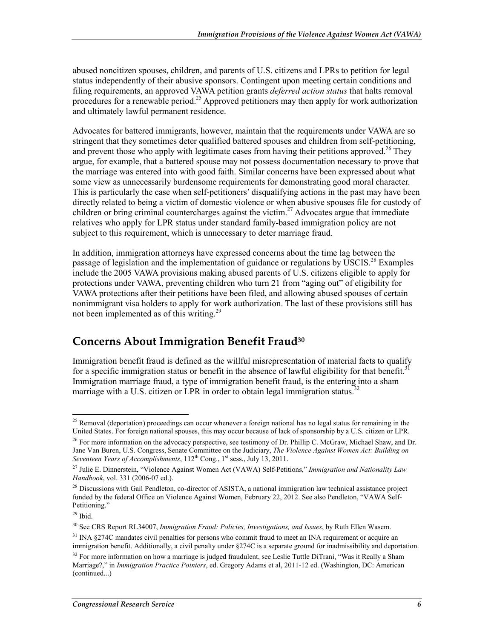abused noncitizen spouses, children, and parents of U.S. citizens and LPRs to petition for legal status independently of their abusive sponsors. Contingent upon meeting certain conditions and filing requirements, an approved VAWA petition grants *deferred action status* that halts removal procedures for a renewable period.<sup>25</sup> Approved petitioners may then apply for work authorization and ultimately lawful permanent residence.

Advocates for battered immigrants, however, maintain that the requirements under VAWA are so stringent that they sometimes deter qualified battered spouses and children from self-petitioning, and prevent those who apply with legitimate cases from having their petitions approved.<sup>26</sup> They argue, for example, that a battered spouse may not possess documentation necessary to prove that the marriage was entered into with good faith. Similar concerns have been expressed about what some view as unnecessarily burdensome requirements for demonstrating good moral character. This is particularly the case when self-petitioners' disqualifying actions in the past may have been directly related to being a victim of domestic violence or when abusive spouses file for custody of children or bring criminal countercharges against the victim.<sup>27</sup> Advocates argue that immediate relatives who apply for LPR status under standard family-based immigration policy are not subject to this requirement, which is unnecessary to deter marriage fraud.

In addition, immigration attorneys have expressed concerns about the time lag between the passage of legislation and the implementation of guidance or regulations by USCIS.<sup>28</sup> Examples include the 2005 VAWA provisions making abused parents of U.S. citizens eligible to apply for protections under VAWA, preventing children who turn 21 from "aging out" of eligibility for VAWA protections after their petitions have been filed, and allowing abused spouses of certain nonimmigrant visa holders to apply for work authorization. The last of these provisions still has not been implemented as of this writing.<sup>29</sup>

### **Concerns About Immigration Benefit Fraud30**

Immigration benefit fraud is defined as the willful misrepresentation of material facts to qualify for a specific immigration status or benefit in the absence of lawful eligibility for that benefit.<sup>3</sup> Immigration marriage fraud, a type of immigration benefit fraud, is the entering into a sham marriage with a U.S. citizen or LPR in order to obtain legal immigration status.<sup>32</sup>

<sup>&</sup>lt;u>.</u>  $25$  Removal (deportation) proceedings can occur whenever a foreign national has no legal status for remaining in the United States. For foreign national spouses, this may occur because of lack of sponsorship by a U.S. citizen or LPR.

<sup>&</sup>lt;sup>26</sup> For more information on the advocacy perspective, see testimony of Dr. Phillip C. McGraw, Michael Shaw, and Dr. Jane Van Buren, U.S. Congress, Senate Committee on the Judiciary, *The Violence Against Women Act: Building on Seventeen Years of Accomplishments*,  $112^{th}$  Cong.,  $1^{st}$  sess., July 13, 2011.

<sup>27</sup> Julie E. Dinnerstein, "Violence Against Women Act (VAWA) Self-Petitions," *Immigration and Nationality Law Handbook*, vol. 331 (2006-07 ed.).

 $^{28}$  Discussions with Gail Pendleton, co-director of ASISTA, a national immigration law technical assistance project funded by the federal Office on Violence Against Women, February 22, 2012. See also Pendleton, "VAWA Self-Petitioning."

 $29$  Ibid.

<sup>30</sup> See CRS Report RL34007, *Immigration Fraud: Policies, Investigations, and Issues*, by Ruth Ellen Wasem.

<sup>&</sup>lt;sup>31</sup> INA §274C mandates civil penalties for persons who commit fraud to meet an INA requirement or acquire an immigration benefit. Additionally, a civil penalty under §274C is a separate ground for inadmissibility and deportation.  $32$  For more information on how a marriage is judged fraudulent, see Leslie Tuttle DiTrani, "Was it Really a Sham Marriage?," in *Immigration Practice Pointers*, ed. Gregory Adams et al, 2011-12 ed. (Washington, DC: American (continued...)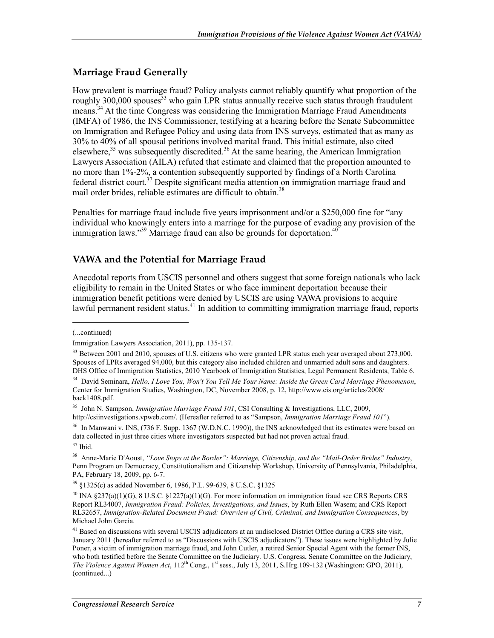### **Marriage Fraud Generally**

How prevalent is marriage fraud? Policy analysts cannot reliably quantify what proportion of the roughly 300,000 spouses<sup>33</sup> who gain LPR status annually receive such status through fraudulent means.<sup>34</sup> At the time Congress was considering the Immigration Marriage Fraud Amendments (IMFA) of 1986, the INS Commissioner, testifying at a hearing before the Senate Subcommittee on Immigration and Refugee Policy and using data from INS surveys, estimated that as many as 30% to 40% of all spousal petitions involved marital fraud. This initial estimate, also cited elsewhere,<sup>35</sup> was subsequently discredited.<sup>36</sup> At the same hearing, the American Immigration Lawyers Association (AILA) refuted that estimate and claimed that the proportion amounted to no more than 1%-2%, a contention subsequently supported by findings of a North Carolina federal district court.<sup>37</sup> Despite significant media attention on immigration marriage fraud and mail order brides, reliable estimates are difficult to obtain.<sup>38</sup>

Penalties for marriage fraud include five years imprisonment and/or a \$250,000 fine for "any individual who knowingly enters into a marriage for the purpose of evading any provision of the immigration laws."<sup>39</sup> Marriage fraud can also be grounds for deportation.<sup>40</sup>

### **VAWA and the Potential for Marriage Fraud**

Anecdotal reports from USCIS personnel and others suggest that some foreign nationals who lack eligibility to remain in the United States or who face imminent deportation because their immigration benefit petitions were denied by USCIS are using VAWA provisions to acquire lawful permanent resident status.<sup>41</sup> In addition to committing immigration marriage fraud, reports

 $\overline{\phantom{a}}$ 

http://csiinvestigations.vpweb.com/. (Hereafter referred to as "Sampson, *Immigration Marriage Fraud 101*").

<sup>36</sup> In Manwani v. INS, (736 F. Supp. 1367 (W.D.N.C. 1990)), the INS acknowledged that its estimates were based on data collected in just three cities where investigators suspected but had not proven actual fraud.

39 §1325(c) as added November 6, 1986, P.L. 99-639, 8 U.S.C. §1325

<sup>(...</sup>continued)

Immigration Lawyers Association, 2011), pp. 135-137.

<sup>&</sup>lt;sup>33</sup> Between 2001 and 2010, spouses of U.S. citizens who were granted LPR status each year averaged about 273,000. Spouses of LPRs averaged 94,000, but this category also included children and unmarried adult sons and daughters. DHS Office of Immigration Statistics, 2010 Yearbook of Immigration Statistics, Legal Permanent Residents, Table 6.

<sup>34</sup> David Seminara, *Hello, I Love You, Won't You Tell Me Your Name: Inside the Green Card Marriage Phenomenon*, Center for Immigration Studies, Washington, DC, November 2008, p. 12, http://www.cis.org/articles/2008/ back1408.pdf.

<sup>35</sup> John N. Sampson, *Immigration Marriage Fraud 101*, CSI Consulting & Investigations, LLC, 2009,

 $37$  Ibid.

<sup>38</sup> Anne-Marie D'Aoust, *"Love Stops at the Border": Marriage, Citizenship, and the "Mail-Order Brides" Industry*, Penn Program on Democracy, Constitutionalism and Citizenship Workshop, University of Pennsylvania, Philadelphia, PA, February 18, 2009, pp. 6-7.

 $^{40}$  INA §237(a)(1)(G), 8 U.S.C. §1227(a)(1)(G). For more information on immigration fraud see CRS Reports CRS Report RL34007, *Immigration Fraud: Policies, Investigations, and Issues*, by Ruth Ellen Wasem; and CRS Report RL32657, *Immigration-Related Document Fraud: Overview of Civil, Criminal, and Immigration Consequences*, by Michael John Garcia.

<sup>&</sup>lt;sup>41</sup> Based on discussions with several USCIS adjudicators at an undisclosed District Office during a CRS site visit, January 2011 (hereafter referred to as "Discussions with USCIS adjudicators"). These issues were highlighted by Julie Poner, a victim of immigration marriage fraud, and John Cutler, a retired Senior Special Agent with the former INS, who both testified before the Senate Committee on the Judiciary. U.S. Congress, Senate Committee on the Judiciary, *The Violence Against Women Act*,  $112^{th}$  Cong., 1<sup>st</sup> sess., July 13, 2011, S.Hrg.109-132 (Washington: GPO, 2011), (continued...)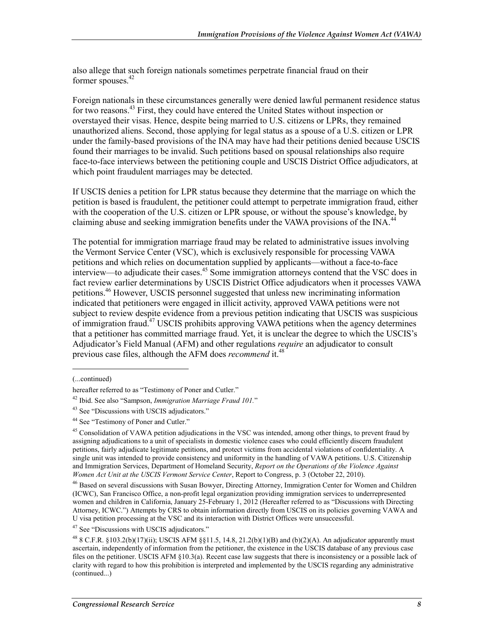also allege that such foreign nationals sometimes perpetrate financial fraud on their former spouses.<sup>42</sup>

Foreign nationals in these circumstances generally were denied lawful permanent residence status for two reasons.<sup>43</sup> First, they could have entered the United States without inspection or overstayed their visas. Hence, despite being married to U.S. citizens or LPRs, they remained unauthorized aliens. Second, those applying for legal status as a spouse of a U.S. citizen or LPR under the family-based provisions of the INA may have had their petitions denied because USCIS found their marriages to be invalid. Such petitions based on spousal relationships also require face-to-face interviews between the petitioning couple and USCIS District Office adjudicators, at which point fraudulent marriages may be detected.

If USCIS denies a petition for LPR status because they determine that the marriage on which the petition is based is fraudulent, the petitioner could attempt to perpetrate immigration fraud, either with the cooperation of the U.S. citizen or LPR spouse, or without the spouse's knowledge, by claiming abuse and seeking immigration benefits under the VAWA provisions of the INA.<sup>4</sup>

The potential for immigration marriage fraud may be related to administrative issues involving the Vermont Service Center (VSC), which is exclusively responsible for processing VAWA petitions and which relies on documentation supplied by applicants—without a face-to-face interview—to adjudicate their cases.<sup>45</sup> Some immigration attorneys contend that the VSC does in fact review earlier determinations by USCIS District Office adjudicators when it processes VAWA petitions.46 However, USCIS personnel suggested that unless new incriminating information indicated that petitioners were engaged in illicit activity, approved VAWA petitions were not subject to review despite evidence from a previous petition indicating that USCIS was suspicious of immigration fraud.<sup>47</sup> USCIS prohibits approving VAWA petitions when the agency determines that a petitioner has committed marriage fraud. Yet, it is unclear the degree to which the USCIS's Adjudicator's Field Manual (AFM) and other regulations *require* an adjudicator to consult previous case files, although the AFM does *recommend* it.<sup>48</sup>

1

47 See "Discussions with USCIS adjudicators."

<sup>(...</sup>continued)

hereafter referred to as "Testimony of Poner and Cutler."

<sup>42</sup> Ibid. See also "Sampson, *Immigration Marriage Fraud 101.*"

<sup>43</sup> See "Discussions with USCIS adjudicators."

<sup>44</sup> See "Testimony of Poner and Cutler."

<sup>&</sup>lt;sup>45</sup> Consolidation of VAWA petition adjudications in the VSC was intended, among other things, to prevent fraud by assigning adjudications to a unit of specialists in domestic violence cases who could efficiently discern fraudulent petitions, fairly adjudicate legitimate petitions, and protect victims from accidental violations of confidentiality. A single unit was intended to provide consistency and uniformity in the handling of VAWA petitions. U.S. Citizenship and Immigration Services, Department of Homeland Security, *Report on the Operations of the Violence Against Women Act Unit at the USCIS Vermont Service Center*, Report to Congress, p. 3 (October 22, 2010).

<sup>46</sup> Based on several discussions with Susan Bowyer, Directing Attorney, Immigration Center for Women and Children (ICWC), San Francisco Office, a non-profit legal organization providing immigration services to underrepresented women and children in California, January 25-February 1, 2012 (Hereafter referred to as "Discussions with Directing Attorney, ICWC.") Attempts by CRS to obtain information directly from USCIS on its policies governing VAWA and U visa petition processing at the VSC and its interaction with District Offices were unsuccessful.

<sup>&</sup>lt;sup>48</sup> 8 C.F.R. §103.2(b)(17)(ii); USCIS AFM §§11.5, 14.8, 21.2(b)(1)(B) and (b)(2)(A). An adjudicator apparently must ascertain, independently of information from the petitioner, the existence in the USCIS database of any previous case files on the petitioner. USCIS AFM §10.3(a). Recent case law suggests that there is inconsistency or a possible lack of clarity with regard to how this prohibition is interpreted and implemented by the USCIS regarding any administrative (continued...)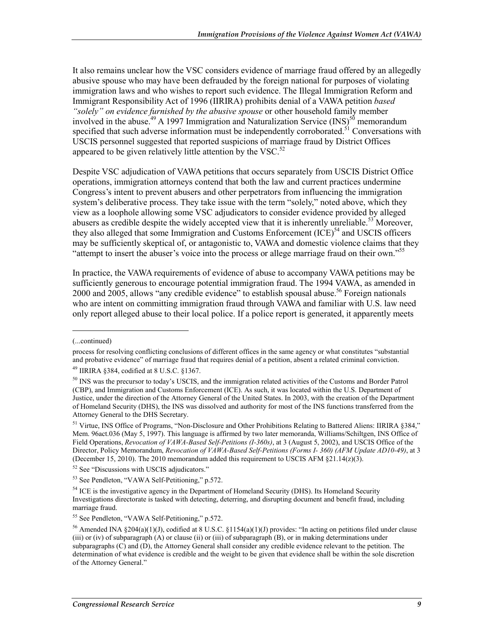It also remains unclear how the VSC considers evidence of marriage fraud offered by an allegedly abusive spouse who may have been defrauded by the foreign national for purposes of violating immigration laws and who wishes to report such evidence. The Illegal Immigration Reform and Immigrant Responsibility Act of 1996 (IIRIRA) prohibits denial of a VAWA petition *based "solely" on evidence furnished by the abusive spouse* or other household family member involved in the abuse.<sup>49</sup> A 1997 Immigration and Naturalization Service (INS)<sup>50</sup> memorandum specified that such adverse information must be independently corroborated.<sup>51</sup> Conversations with USCIS personnel suggested that reported suspicions of marriage fraud by District Offices appeared to be given relatively little attention by the VSC. $52$ 

Despite VSC adjudication of VAWA petitions that occurs separately from USCIS District Office operations, immigration attorneys contend that both the law and current practices undermine Congress's intent to prevent abusers and other perpetrators from influencing the immigration system's deliberative process. They take issue with the term "solely," noted above, which they view as a loophole allowing some VSC adjudicators to consider evidence provided by alleged abusers as credible despite the widely accepted view that it is inherently unreliable.<sup>53</sup> Moreover, they also alleged that some Immigration and Customs Enforcement  ${(\text{ICE})}^{54}$  and USCIS officers may be sufficiently skeptical of, or antagonistic to, VAWA and domestic violence claims that they "attempt to insert the abuser's voice into the process or allege marriage fraud on their own."<sup>55</sup>

In practice, the VAWA requirements of evidence of abuse to accompany VAWA petitions may be sufficiently generous to encourage potential immigration fraud. The 1994 VAWA, as amended in 2000 and 2005, allows "any credible evidence" to establish spousal abuse.<sup>56</sup> Foreign nationals who are intent on committing immigration fraud through VAWA and familiar with U.S. law need only report alleged abuse to their local police. If a police report is generated, it apparently meets

1

<sup>52</sup> See "Discussions with USCIS adjudicators."

53 See Pendleton, "VAWA Self-Petitioning," p.572.

<sup>(...</sup>continued)

process for resolving conflicting conclusions of different offices in the same agency or what constitutes "substantial and probative evidence" of marriage fraud that requires denial of a petition, absent a related criminal conviction. 49 IIRIRA §384, codified at 8 U.S.C. §1367.

<sup>&</sup>lt;sup>50</sup> INS was the precursor to today's USCIS, and the immigration related activities of the Customs and Border Patrol (CBP), and Immigration and Customs Enforcement (ICE). As such, it was located within the U.S. Department of Justice, under the direction of the Attorney General of the United States. In 2003, with the creation of the Department of Homeland Security (DHS), the INS was dissolved and authority for most of the INS functions transferred from the Attorney General to the DHS Secretary.

<sup>&</sup>lt;sup>51</sup> Virtue. INS Office of Programs, "Non-Disclosure and Other Prohibitions Relating to Battered Aliens: IIRIRA §384," Mem. 96act.036 (May 5, 1997). This language is affirmed by two later memoranda, Williams/Schiltgen, INS Office of Field Operations, *Revocation of VAWA-Based Self-Petitions (I-360s)*, at 3 (August 5, 2002), and USCIS Office of the Director, Policy Memorandum, *Revocation of VAWA-Based Self-Petitions (Forms I- 360) (AFM Update AD10-49)*, at 3 (December 15, 2010). The 2010 memorandum added this requirement to USCIS AFM  $\S$ 21.14( $z$ )(3).

<sup>&</sup>lt;sup>54</sup> ICE is the investigative agency in the Department of Homeland Security (DHS). Its Homeland Security Investigations directorate is tasked with detecting, deterring, and disrupting document and benefit fraud, including marriage fraud.

<sup>55</sup> See Pendleton, "VAWA Self-Petitioning," p.572.

<sup>&</sup>lt;sup>56</sup> Amended INA §204(a)(1)(J), codified at 8 U.S.C. §1154(a)(1)(J) provides: "In acting on petitions filed under clause (iii) or (iv) of subparagraph (A) or clause (ii) or (iii) of subparagraph (B), or in making determinations under subparagraphs (C) and (D), the Attorney General shall consider any credible evidence relevant to the petition. The determination of what evidence is credible and the weight to be given that evidence shall be within the sole discretion of the Attorney General."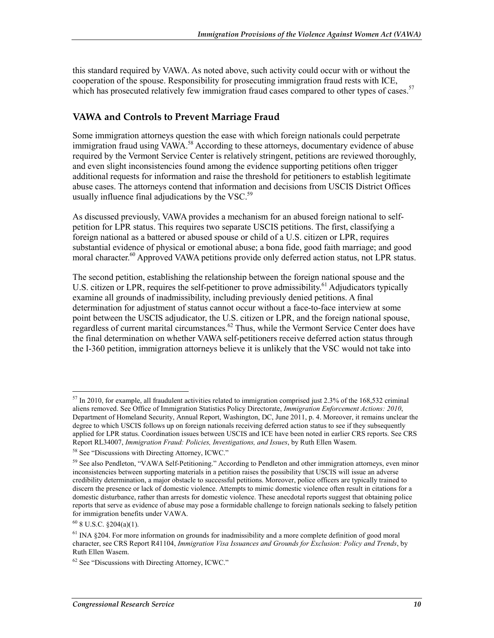this standard required by VAWA. As noted above, such activity could occur with or without the cooperation of the spouse. Responsibility for prosecuting immigration fraud rests with ICE, which has prosecuted relatively few immigration fraud cases compared to other types of cases.<sup>57</sup>

### **VAWA and Controls to Prevent Marriage Fraud**

Some immigration attorneys question the ease with which foreign nationals could perpetrate immigration fraud using VAWA.<sup>58</sup> According to these attorneys, documentary evidence of abuse required by the Vermont Service Center is relatively stringent, petitions are reviewed thoroughly, and even slight inconsistencies found among the evidence supporting petitions often trigger additional requests for information and raise the threshold for petitioners to establish legitimate abuse cases. The attorneys contend that information and decisions from USCIS District Offices usually influence final adjudications by the  $VSC<sub>59</sub>$ 

As discussed previously, VAWA provides a mechanism for an abused foreign national to selfpetition for LPR status. This requires two separate USCIS petitions. The first, classifying a foreign national as a battered or abused spouse or child of a U.S. citizen or LPR, requires substantial evidence of physical or emotional abuse; a bona fide, good faith marriage; and good moral character.<sup>60</sup> Approved VAWA petitions provide only deferred action status, not LPR status.

The second petition, establishing the relationship between the foreign national spouse and the U.S. citizen or LPR, requires the self-petitioner to prove admissibility.<sup>61</sup> Adjudicators typically examine all grounds of inadmissibility, including previously denied petitions. A final determination for adjustment of status cannot occur without a face-to-face interview at some point between the USCIS adjudicator, the U.S. citizen or LPR, and the foreign national spouse, regardless of current marital circumstances.<sup>62</sup> Thus, while the Vermont Service Center does have the final determination on whether VAWA self-petitioners receive deferred action status through the I-360 petition, immigration attorneys believe it is unlikely that the VSC would not take into

<u>.</u>

 $57$  In 2010, for example, all fraudulent activities related to immigration comprised just 2.3% of the 168,532 criminal aliens removed. See Office of Immigration Statistics Policy Directorate, *Immigration Enforcement Actions: 2010*, Department of Homeland Security, Annual Report, Washington, DC, June 2011, p. 4. Moreover, it remains unclear the degree to which USCIS follows up on foreign nationals receiving deferred action status to see if they subsequently applied for LPR status. Coordination issues between USCIS and ICE have been noted in earlier CRS reports. See CRS Report RL34007, *Immigration Fraud: Policies, Investigations, and Issues*, by Ruth Ellen Wasem.

<sup>58</sup> See "Discussions with Directing Attorney, ICWC."

<sup>&</sup>lt;sup>59</sup> See also Pendleton, "VAWA Self-Petitioning." According to Pendleton and other immigration attorneys, even minor inconsistencies between supporting materials in a petition raises the possibility that USCIS will issue an adverse credibility determination, a major obstacle to successful petitions. Moreover, police officers are typically trained to discern the presence or lack of domestic violence. Attempts to mimic domestic violence often result in citations for a domestic disturbance, rather than arrests for domestic violence. These anecdotal reports suggest that obtaining police reports that serve as evidence of abuse may pose a formidable challenge to foreign nationals seeking to falsely petition for immigration benefits under VAWA.

 $60$  8 U.S.C.  $\S 204(a)(1)$ .

<sup>&</sup>lt;sup>61</sup> INA §204. For more information on grounds for inadmissibility and a more complete definition of good moral character, see CRS Report R41104, *Immigration Visa Issuances and Grounds for Exclusion: Policy and Trends*, by Ruth Ellen Wasem.

<sup>62</sup> See "Discussions with Directing Attorney, ICWC."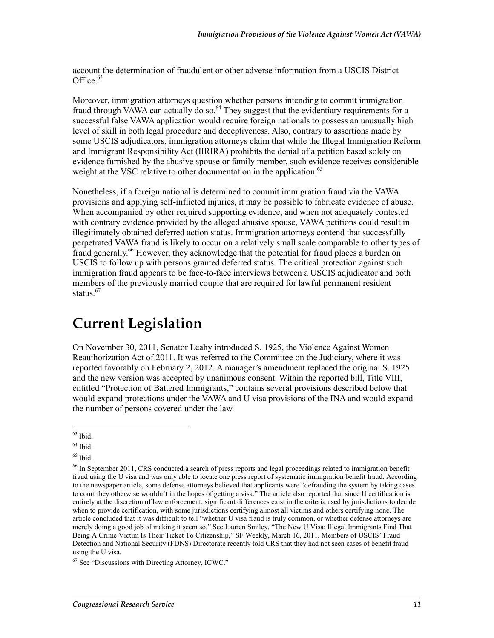account the determination of fraudulent or other adverse information from a USCIS District Office.<sup>63</sup>

Moreover, immigration attorneys question whether persons intending to commit immigration fraud through VAWA can actually do so.<sup>64</sup> They suggest that the evidentiary requirements for a successful false VAWA application would require foreign nationals to possess an unusually high level of skill in both legal procedure and deceptiveness. Also, contrary to assertions made by some USCIS adjudicators, immigration attorneys claim that while the Illegal Immigration Reform and Immigrant Responsibility Act (IIRIRA) prohibits the denial of a petition based solely on evidence furnished by the abusive spouse or family member, such evidence receives considerable weight at the VSC relative to other documentation in the application.<sup>65</sup>

Nonetheless, if a foreign national is determined to commit immigration fraud via the VAWA provisions and applying self-inflicted injuries, it may be possible to fabricate evidence of abuse. When accompanied by other required supporting evidence, and when not adequately contested with contrary evidence provided by the alleged abusive spouse, VAWA petitions could result in illegitimately obtained deferred action status. Immigration attorneys contend that successfully perpetrated VAWA fraud is likely to occur on a relatively small scale comparable to other types of fraud generally.<sup>66</sup> However, they acknowledge that the potential for fraud places a burden on USCIS to follow up with persons granted deferred status. The critical protection against such immigration fraud appears to be face-to-face interviews between a USCIS adjudicator and both members of the previously married couple that are required for lawful permanent resident status.<sup>67</sup>

## **Current Legislation**

On November 30, 2011, Senator Leahy introduced S. 1925, the Violence Against Women Reauthorization Act of 2011. It was referred to the Committee on the Judiciary, where it was reported favorably on February 2, 2012. A manager's amendment replaced the original S. 1925 and the new version was accepted by unanimous consent. Within the reported bill, Title VIII, entitled "Protection of Battered Immigrants," contains several provisions described below that would expand protections under the VAWA and U visa provisions of the INA and would expand the number of persons covered under the law.

 $63$  Ibid.

 $64$  Ibid.

 $65$  Ibid.

<sup>&</sup>lt;sup>66</sup> In September 2011, CRS conducted a search of press reports and legal proceedings related to immigration benefit fraud using the U visa and was only able to locate one press report of systematic immigration benefit fraud. According to the newspaper article, some defense attorneys believed that applicants were "defrauding the system by taking cases to court they otherwise wouldn't in the hopes of getting a visa." The article also reported that since U certification is entirely at the discretion of law enforcement, significant differences exist in the criteria used by jurisdictions to decide when to provide certification, with some jurisdictions certifying almost all victims and others certifying none. The article concluded that it was difficult to tell "whether U visa fraud is truly common, or whether defense attorneys are merely doing a good job of making it seem so." See Lauren Smiley, "The New U Visa: Illegal Immigrants Find That Being A Crime Victim Is Their Ticket To Citizenship," SF Weekly, March 16, 2011. Members of USCIS' Fraud Detection and National Security (FDNS) Directorate recently told CRS that they had not seen cases of benefit fraud using the U visa.

<sup>67</sup> See "Discussions with Directing Attorney, ICWC."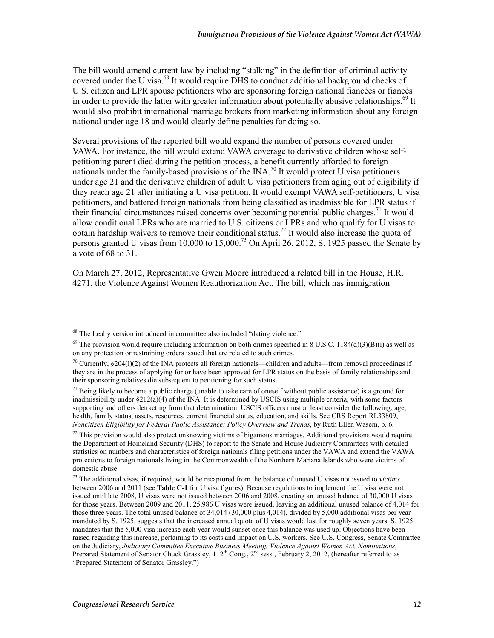The bill would amend current law by including "stalking" in the definition of criminal activity covered under the U visa.<sup>68</sup> It would require DHS to conduct additional background checks of U.S. citizen and LPR spouse petitioners who are sponsoring foreign national fiancées or fiancés in order to provide the latter with greater information about potentially abusive relationships.<sup>69</sup> It would also prohibit international marriage brokers from marketing information about any foreign national under age 18 and would clearly define penalties for doing so.

Several provisions of the reported bill would expand the number of persons covered under VAWA. For instance, the bill would extend VAWA coverage to derivative children whose selfpetitioning parent died during the petition process, a benefit currently afforded to foreign nationals under the family-based provisions of the  $\text{INA.}^{70}$  It would protect U visa petitioners under age 21 and the derivative children of adult U visa petitioners from aging out of eligibility if they reach age 21 after initiating a U visa petition. It would exempt VAWA self-petitioners, U visa petitioners, and battered foreign nationals from being classified as inadmissible for LPR status if their financial circumstances raised concerns over becoming potential public charges.<sup>71</sup> It would allow conditional LPRs who are married to U.S. citizens or LPRs and who qualify for U visas to obtain hardship waivers to remove their conditional status.<sup>72</sup> It would also increase the quota of persons granted U visas from 10,000 to 15,000.73 On April 26, 2012, S. 1925 passed the Senate by a vote of 68 to 31.

On March 27, 2012, Representative Gwen Moore introduced a related bill in the House, H.R. 4271, the Violence Against Women Reauthorization Act. The bill, which has immigration

<sup>1</sup> <sup>68</sup> The Leahy version introduced in committee also included "dating violence."

 $69$  The provision would require including information on both crimes specified in 8 U.S.C. 1184(d)(3)(B)(i) as well as on any protection or restraining orders issued that are related to such crimes.

<sup>&</sup>lt;sup>70</sup> Currently, §204(l)(2) of the INA protects all foreign nationals—children and adults—from removal proceedings if they are in the process of applying for or have been approved for LPR status on the basis of family relationships and their sponsoring relatives die subsequent to petitioning for such status.

 $71$  Being likely to become a public charge (unable to take care of oneself without public assistance) is a ground for inadmissibility under §212(a)(4) of the INA. It is determined by USCIS using multiple criteria, with some factors supporting and others detracting from that determination. USCIS officers must at least consider the following: age, health, family status, assets, resources, current financial status, education, and skills. See CRS Report RL33809, *Noncitizen Eligibility for Federal Public Assistance: Policy Overview and Trends*, by Ruth Ellen Wasem, p. 6.

 $72$  This provision would also protect unknowing victims of bigamous marriages. Additional provisions would require the Department of Homeland Security (DHS) to report to the Senate and House Judiciary Committees with detailed statistics on numbers and characteristics of foreign nationals filing petitions under the VAWA and extend the VAWA protections to foreign nationals living in the Commonwealth of the Northern Mariana Islands who were victims of domestic abuse.

<sup>73</sup> The additional visas, if required, would be recaptured from the balance of unused U visas not issued to *victims* between 2006 and 2011 (see **Table C-1** for U visa figures). Because regulations to implement the U visa were not issued until late 2008, U visas were not issued between 2006 and 2008, creating an unused balance of 30,000 U visas for those years. Between 2009 and 2011, 25,986 U visas were issued, leaving an additional unused balance of 4,014 for those three years. The total unused balance of 34,014 (30,000 plus 4,014), divided by 5,000 additional visas per year mandated by S. 1925, suggests that the increased annual quota of U visas would last for roughly seven years. S. 1925 mandates that the 5,000 visa increase each year would sunset once this balance was used up. Objections have been raised regarding this increase, pertaining to its costs and impact on U.S. workers. See U.S. Congress, Senate Committee on the Judiciary, *Judiciary Committee Executive Business Meeting, Violence Against Women Act, Nominations*, Prepared Statement of Senator Chuck Grassley, 112<sup>th</sup> Cong., 2<sup>nd</sup> sess., February 2, 2012, (hereafter referred to as "Prepared Statement of Senator Grassley.")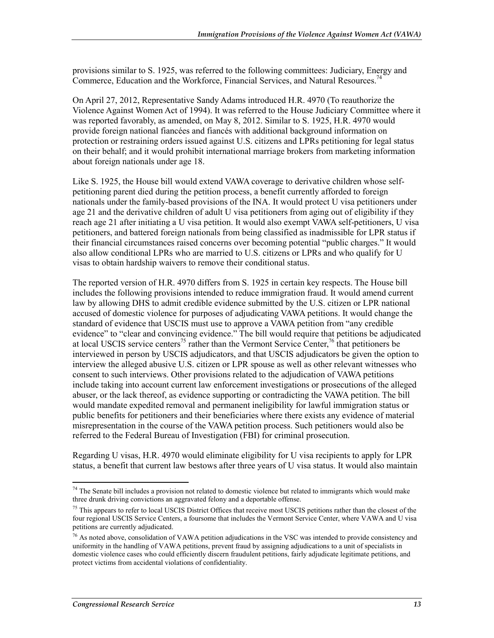provisions similar to S. 1925, was referred to the following committees: Judiciary, Energy and Commerce, Education and the Workforce, Financial Services, and Natural Resources.<sup>74</sup>

On April 27, 2012, Representative Sandy Adams introduced H.R. 4970 (To reauthorize the Violence Against Women Act of 1994). It was referred to the House Judiciary Committee where it was reported favorably, as amended, on May 8, 2012. Similar to S. 1925, H.R. 4970 would provide foreign national fiancées and fiancés with additional background information on protection or restraining orders issued against U.S. citizens and LPRs petitioning for legal status on their behalf; and it would prohibit international marriage brokers from marketing information about foreign nationals under age 18.

Like S. 1925, the House bill would extend VAWA coverage to derivative children whose selfpetitioning parent died during the petition process, a benefit currently afforded to foreign nationals under the family-based provisions of the INA. It would protect U visa petitioners under age 21 and the derivative children of adult U visa petitioners from aging out of eligibility if they reach age 21 after initiating a U visa petition. It would also exempt VAWA self-petitioners, U visa petitioners, and battered foreign nationals from being classified as inadmissible for LPR status if their financial circumstances raised concerns over becoming potential "public charges." It would also allow conditional LPRs who are married to U.S. citizens or LPRs and who qualify for U visas to obtain hardship waivers to remove their conditional status.

The reported version of H.R. 4970 differs from S. 1925 in certain key respects. The House bill includes the following provisions intended to reduce immigration fraud. It would amend current law by allowing DHS to admit credible evidence submitted by the U.S. citizen or LPR national accused of domestic violence for purposes of adjudicating VAWA petitions. It would change the standard of evidence that USCIS must use to approve a VAWA petition from "any credible evidence" to "clear and convincing evidence." The bill would require that petitions be adjudicated at local USCIS service centers<sup>75</sup> rather than the Vermont Service Center,<sup>76</sup> that petitioners be interviewed in person by USCIS adjudicators, and that USCIS adjudicators be given the option to interview the alleged abusive U.S. citizen or LPR spouse as well as other relevant witnesses who consent to such interviews. Other provisions related to the adjudication of VAWA petitions include taking into account current law enforcement investigations or prosecutions of the alleged abuser, or the lack thereof, as evidence supporting or contradicting the VAWA petition. The bill would mandate expedited removal and permanent ineligibility for lawful immigration status or public benefits for petitioners and their beneficiaries where there exists any evidence of material misrepresentation in the course of the VAWA petition process. Such petitioners would also be referred to the Federal Bureau of Investigation (FBI) for criminal prosecution.

Regarding U visas, H.R. 4970 would eliminate eligibility for U visa recipients to apply for LPR status, a benefit that current law bestows after three years of U visa status. It would also maintain

 $74$  The Senate bill includes a provision not related to domestic violence but related to immigrants which would make three drunk driving convictions an aggravated felony and a deportable offense.

 $<sup>75</sup>$  This appears to refer to local USCIS District Offices that receive most USCIS petitions rather than the closest of the</sup> four regional USCIS Service Centers, a foursome that includes the Vermont Service Center, where VAWA and U visa petitions are currently adjudicated.

 $^{76}$  As noted above, consolidation of VAWA petition adjudications in the VSC was intended to provide consistency and uniformity in the handling of VAWA petitions, prevent fraud by assigning adjudications to a unit of specialists in domestic violence cases who could efficiently discern fraudulent petitions, fairly adjudicate legitimate petitions, and protect victims from accidental violations of confidentiality.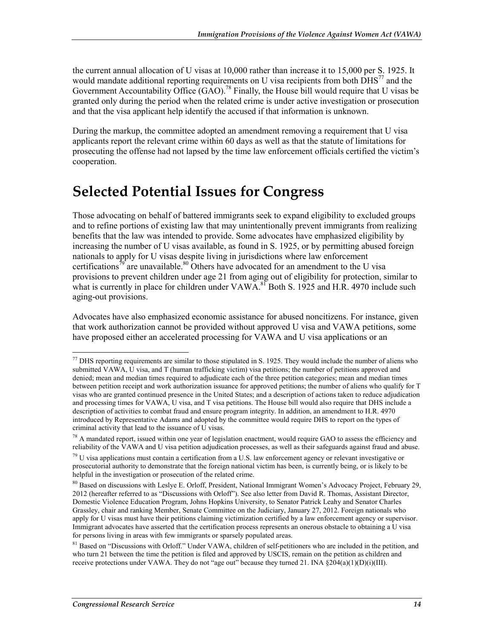the current annual allocation of U visas at 10,000 rather than increase it to 15,000 per S. 1925. It would mandate additional reporting requirements on U visa recipients from both  $\text{DHS}^{77}$  and the Government Accountability Office  $(GAO)$ .<sup>78</sup> Finally, the House bill would require that U visas be granted only during the period when the related crime is under active investigation or prosecution and that the visa applicant help identify the accused if that information is unknown.

During the markup, the committee adopted an amendment removing a requirement that U visa applicants report the relevant crime within 60 days as well as that the statute of limitations for prosecuting the offense had not lapsed by the time law enforcement officials certified the victim's cooperation.

## **Selected Potential Issues for Congress**

Those advocating on behalf of battered immigrants seek to expand eligibility to excluded groups and to refine portions of existing law that may unintentionally prevent immigrants from realizing benefits that the law was intended to provide. Some advocates have emphasized eligibility by increasing the number of U visas available, as found in S. 1925, or by permitting abused foreign nationals to apply for U visas despite living in jurisdictions where law enforcement certifications<sup>79</sup> are unavailable.<sup>80</sup> Others have advocated for an amendment to the U visa provisions to prevent children under age 21 from aging out of eligibility for protection, similar to what is currently in place for children under VAWA.<sup>81</sup> Both S. 1925 and H.R. 4970 include such aging-out provisions.

Advocates have also emphasized economic assistance for abused noncitizens. For instance, given that work authorization cannot be provided without approved U visa and VAWA petitions, some have proposed either an accelerated processing for VAWA and U visa applications or an

 $^{77}$  DHS reporting requirements are similar to those stipulated in S. 1925. They would include the number of aliens who submitted VAWA, U visa, and T (human trafficking victim) visa petitions; the number of petitions approved and denied; mean and median times required to adjudicate each of the three petition categories; mean and median times between petition receipt and work authorization issuance for approved petitions; the number of aliens who qualify for T visas who are granted continued presence in the United States; and a description of actions taken to reduce adjudication and processing times for VAWA, U visa, and T visa petitions. The House bill would also require that DHS include a description of activities to combat fraud and ensure program integrity. In addition, an amendment to H.R. 4970 introduced by Representative Adams and adopted by the committee would require DHS to report on the types of criminal activity that lead to the issuance of U visas.

 $78$  A mandated report, issued within one year of legislation enactment, would require GAO to assess the efficiency and reliability of the VAWA and U visa petition adjudication processes, as well as their safeguards against fraud and abuse.

 $79$  U visa applications must contain a certification from a U.S. law enforcement agency or relevant investigative or prosecutorial authority to demonstrate that the foreign national victim has been, is currently being, or is likely to be helpful in the investigation or prosecution of the related crime.

<sup>&</sup>lt;sup>80</sup> Based on discussions with Leslye E. Orloff, President, National Immigrant Women's Advocacy Project, February 29, 2012 (hereafter referred to as "Discussions with Orloff"). See also letter from David R. Thomas, Assistant Director, Domestic Violence Education Program, Johns Hopkins University, to Senator Patrick Leahy and Senator Charles Grassley, chair and ranking Member, Senate Committee on the Judiciary, January 27, 2012. Foreign nationals who apply for U visas must have their petitions claiming victimization certified by a law enforcement agency or supervisor. Immigrant advocates have asserted that the certification process represents an onerous obstacle to obtaining a U visa for persons living in areas with few immigrants or sparsely populated areas.

<sup>&</sup>lt;sup>81</sup> Based on "Discussions with Orloff." Under VAWA, children of self-petitioners who are included in the petition, and who turn 21 between the time the petition is filed and approved by USCIS, remain on the petition as children and receive protections under VAWA. They do not "age out" because they turned 21. INA §204(a)(1)(D)(i)(III).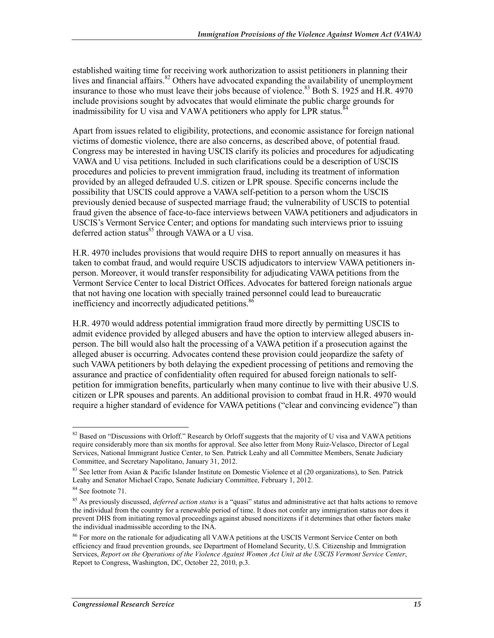established waiting time for receiving work authorization to assist petitioners in planning their lives and financial affairs.<sup>82</sup> Others have advocated expanding the availability of unemployment insurance to those who must leave their jobs because of violence.<sup>83</sup> Both S. 1925 and H.R. 4970 include provisions sought by advocates that would eliminate the public charge grounds for inadmissibility for U visa and VAWA petitioners who apply for LPR status.<sup>8</sup>

Apart from issues related to eligibility, protections, and economic assistance for foreign national victims of domestic violence, there are also concerns, as described above, of potential fraud. Congress may be interested in having USCIS clarify its policies and procedures for adjudicating VAWA and U visa petitions. Included in such clarifications could be a description of USCIS procedures and policies to prevent immigration fraud, including its treatment of information provided by an alleged defrauded U.S. citizen or LPR spouse. Specific concerns include the possibility that USCIS could approve a VAWA self-petition to a person whom the USCIS previously denied because of suspected marriage fraud; the vulnerability of USCIS to potential fraud given the absence of face-to-face interviews between VAWA petitioners and adjudicators in USCIS's Vermont Service Center; and options for mandating such interviews prior to issuing deferred action status<sup>85</sup> through VAWA or a U visa.

H.R. 4970 includes provisions that would require DHS to report annually on measures it has taken to combat fraud, and would require USCIS adjudicators to interview VAWA petitioners inperson. Moreover, it would transfer responsibility for adjudicating VAWA petitions from the Vermont Service Center to local District Offices. Advocates for battered foreign nationals argue that not having one location with specially trained personnel could lead to bureaucratic inefficiency and incorrectly adjudicated petitions.<sup>86</sup>

H.R. 4970 would address potential immigration fraud more directly by permitting USCIS to admit evidence provided by alleged abusers and have the option to interview alleged abusers inperson. The bill would also halt the processing of a VAWA petition if a prosecution against the alleged abuser is occurring. Advocates contend these provision could jeopardize the safety of such VAWA petitioners by both delaying the expedient processing of petitions and removing the assurance and practice of confidentiality often required for abused foreign nationals to selfpetition for immigration benefits, particularly when many continue to live with their abusive U.S. citizen or LPR spouses and parents. An additional provision to combat fraud in H.R. 4970 would require a higher standard of evidence for VAWA petitions ("clear and convincing evidence") than

<sup>1</sup>  $82$  Based on "Discussions with Orloff." Research by Orloff suggests that the majority of U visa and VAWA petitions require considerably more than six months for approval. See also letter from Mony Ruiz-Velasco, Director of Legal Services, National Immigrant Justice Center, to Sen. Patrick Leahy and all Committee Members, Senate Judiciary Committee, and Secretary Napolitano, January 31, 2012.

<sup>&</sup>lt;sup>83</sup> See letter from Asian & Pacific Islander Institute on Domestic Violence et al (20 organizations), to Sen. Patrick Leahy and Senator Michael Crapo, Senate Judiciary Committee, February 1, 2012.

<sup>84</sup> See footnote 71.

<sup>&</sup>lt;sup>85</sup> As previously discussed, *deferred action status* is a "quasi" status and administrative act that halts actions to remove the individual from the country for a renewable period of time. It does not confer any immigration status nor does it prevent DHS from initiating removal proceedings against abused noncitizens if it determines that other factors make the individual inadmissible according to the INA.

<sup>&</sup>lt;sup>86</sup> For more on the rationale for adjudicating all VAWA petitions at the USCIS Vermont Service Center on both efficiency and fraud prevention grounds, see Department of Homeland Security, U.S. Citizenship and Immigration Services, *Report on the Operations of the Violence Against Women Act Unit at the USCIS Vermont Service Center*, Report to Congress, Washington, DC, October 22, 2010, p.3.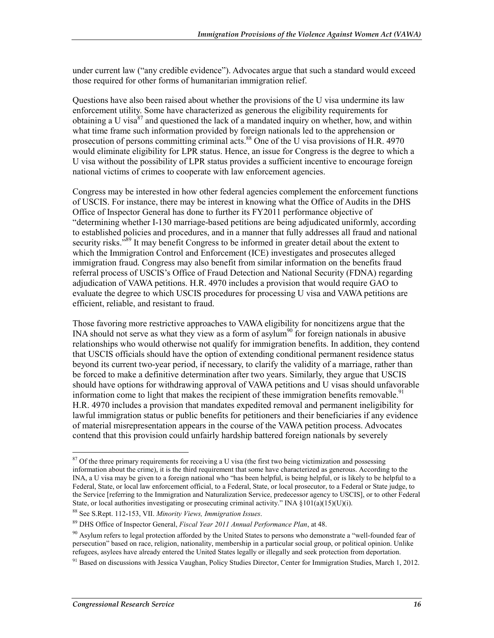under current law ("any credible evidence"). Advocates argue that such a standard would exceed those required for other forms of humanitarian immigration relief.

Questions have also been raised about whether the provisions of the U visa undermine its law enforcement utility. Some have characterized as generous the eligibility requirements for obtaining a U visa  $87$  and questioned the lack of a mandated inquiry on whether, how, and within what time frame such information provided by foreign nationals led to the apprehension or prosecution of persons committing criminal acts.<sup>88</sup> One of the U visa provisions of H.R. 4970 would eliminate eligibility for LPR status. Hence, an issue for Congress is the degree to which a U visa without the possibility of LPR status provides a sufficient incentive to encourage foreign national victims of crimes to cooperate with law enforcement agencies.

Congress may be interested in how other federal agencies complement the enforcement functions of USCIS. For instance, there may be interest in knowing what the Office of Audits in the DHS Office of Inspector General has done to further its FY2011 performance objective of "determining whether I-130 marriage-based petitions are being adjudicated uniformly, according to established policies and procedures, and in a manner that fully addresses all fraud and national security risks.<sup>589</sup> It may benefit Congress to be informed in greater detail about the extent to which the Immigration Control and Enforcement (ICE) investigates and prosecutes alleged immigration fraud. Congress may also benefit from similar information on the benefits fraud referral process of USCIS's Office of Fraud Detection and National Security (FDNA) regarding adjudication of VAWA petitions. H.R. 4970 includes a provision that would require GAO to evaluate the degree to which USCIS procedures for processing U visa and VAWA petitions are efficient, reliable, and resistant to fraud.

Those favoring more restrictive approaches to VAWA eligibility for noncitizens argue that the INA should not serve as what they view as a form of asylum<sup>90</sup> for foreign nationals in abusive relationships who would otherwise not qualify for immigration benefits. In addition, they contend that USCIS officials should have the option of extending conditional permanent residence status beyond its current two-year period, if necessary, to clarify the validity of a marriage, rather than be forced to make a definitive determination after two years. Similarly, they argue that USCIS should have options for withdrawing approval of VAWA petitions and U visas should unfavorable information come to light that makes the recipient of these immigration benefits removable.<sup>91</sup> H.R. 4970 includes a provision that mandates expedited removal and permanent ineligibility for lawful immigration status or public benefits for petitioners and their beneficiaries if any evidence of material misrepresentation appears in the course of the VAWA petition process. Advocates contend that this provision could unfairly hardship battered foreign nationals by severely

 $87$  Of the three primary requirements for receiving a U visa (the first two being victimization and possessing information about the crime), it is the third requirement that some have characterized as generous. According to the INA, a U visa may be given to a foreign national who "has been helpful, is being helpful, or is likely to be helpful to a Federal, State, or local law enforcement official, to a Federal, State, or local prosecutor, to a Federal or State judge, to the Service [referring to the Immigration and Naturalization Service, predecessor agency to USCIS], or to other Federal State, or local authorities investigating or prosecuting criminal activity." INA  $\S 101(a)(15)(U)(i)$ .

<sup>88</sup> See S.Rept. 112-153, VII. *Minority Views, Immigration Issues*.

<sup>89</sup> DHS Office of Inspector General, *Fiscal Year 2011 Annual Performance Plan*, at 48.

 $90$  Asylum refers to legal protection afforded by the United States to persons who demonstrate a "well-founded fear of persecution" based on race, religion, nationality, membership in a particular social group, or political opinion. Unlike refugees, asylees have already entered the United States legally or illegally and seek protection from deportation.

<sup>&</sup>lt;sup>91</sup> Based on discussions with Jessica Vaughan, Policy Studies Director, Center for Immigration Studies, March 1, 2012.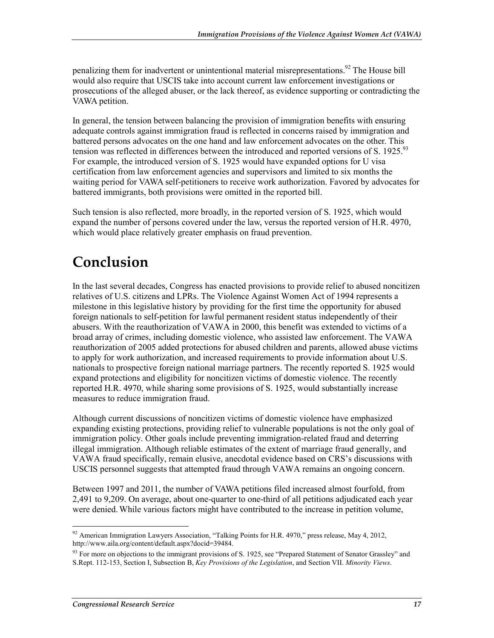penalizing them for inadvertent or unintentional material misrepresentations.<sup>92</sup> The House bill would also require that USCIS take into account current law enforcement investigations or prosecutions of the alleged abuser, or the lack thereof, as evidence supporting or contradicting the VAWA petition.

In general, the tension between balancing the provision of immigration benefits with ensuring adequate controls against immigration fraud is reflected in concerns raised by immigration and battered persons advocates on the one hand and law enforcement advocates on the other. This tension was reflected in differences between the introduced and reported versions of S. 1925.<sup>93</sup> For example, the introduced version of S. 1925 would have expanded options for U visa certification from law enforcement agencies and supervisors and limited to six months the waiting period for VAWA self-petitioners to receive work authorization. Favored by advocates for battered immigrants, both provisions were omitted in the reported bill.

Such tension is also reflected, more broadly, in the reported version of S. 1925, which would expand the number of persons covered under the law, versus the reported version of H.R. 4970, which would place relatively greater emphasis on fraud prevention.

## **Conclusion**

In the last several decades, Congress has enacted provisions to provide relief to abused noncitizen relatives of U.S. citizens and LPRs. The Violence Against Women Act of 1994 represents a milestone in this legislative history by providing for the first time the opportunity for abused foreign nationals to self-petition for lawful permanent resident status independently of their abusers. With the reauthorization of VAWA in 2000, this benefit was extended to victims of a broad array of crimes, including domestic violence, who assisted law enforcement. The VAWA reauthorization of 2005 added protections for abused children and parents, allowed abuse victims to apply for work authorization, and increased requirements to provide information about U.S. nationals to prospective foreign national marriage partners. The recently reported S. 1925 would expand protections and eligibility for noncitizen victims of domestic violence. The recently reported H.R. 4970, while sharing some provisions of S. 1925, would substantially increase measures to reduce immigration fraud.

Although current discussions of noncitizen victims of domestic violence have emphasized expanding existing protections, providing relief to vulnerable populations is not the only goal of immigration policy. Other goals include preventing immigration-related fraud and deterring illegal immigration. Although reliable estimates of the extent of marriage fraud generally, and VAWA fraud specifically, remain elusive, anecdotal evidence based on CRS's discussions with USCIS personnel suggests that attempted fraud through VAWA remains an ongoing concern.

Between 1997 and 2011, the number of VAWA petitions filed increased almost fourfold, from 2,491 to 9,209. On average, about one-quarter to one-third of all petitions adjudicated each year were denied.While various factors might have contributed to the increase in petition volume,

<sup>1</sup> <sup>92</sup> American Immigration Lawyers Association, "Talking Points for H.R. 4970," press release, May 4, 2012, http://www.aila.org/content/default.aspx?docid=39484.

 $93$  For more on objections to the immigrant provisions of S. 1925, see "Prepared Statement of Senator Grassley" and S.Rept. 112-153, Section I, Subsection B, *Key Provisions of the Legislation*, and Section VII. *Minority Views*.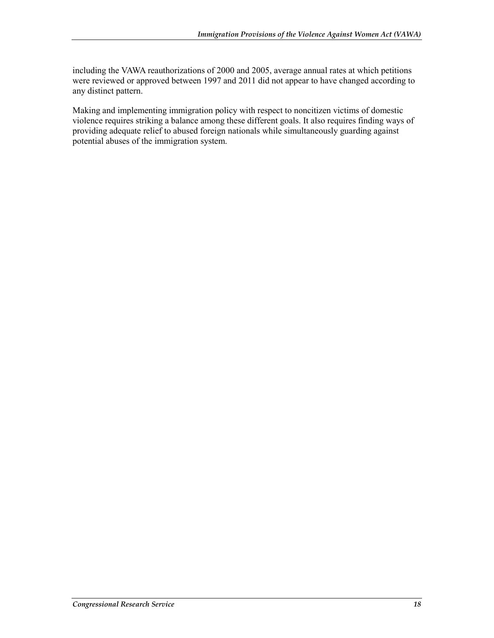including the VAWA reauthorizations of 2000 and 2005, average annual rates at which petitions were reviewed or approved between 1997 and 2011 did not appear to have changed according to any distinct pattern.

Making and implementing immigration policy with respect to noncitizen victims of domestic violence requires striking a balance among these different goals. It also requires finding ways of providing adequate relief to abused foreign nationals while simultaneously guarding against potential abuses of the immigration system.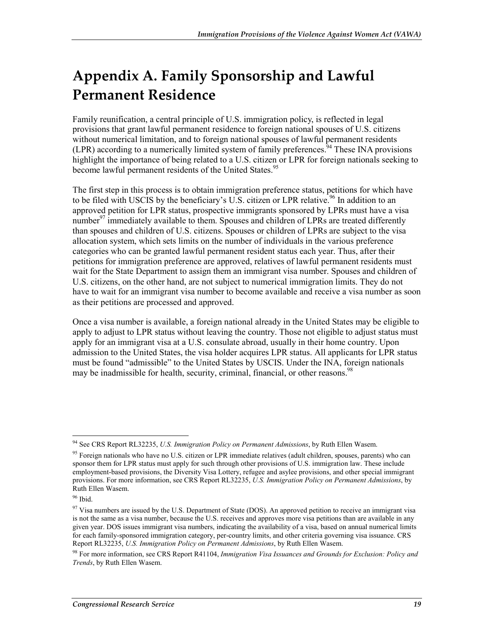## **Appendix A. Family Sponsorship and Lawful Permanent Residence**

Family reunification, a central principle of U.S. immigration policy, is reflected in legal provisions that grant lawful permanent residence to foreign national spouses of U.S. citizens without numerical limitation, and to foreign national spouses of lawful permanent residents (LPR) according to a numerically limited system of family preferences.<sup>94</sup> These INA provisions highlight the importance of being related to a U.S. citizen or LPR for foreign nationals seeking to become lawful permanent residents of the United States.<sup>95</sup>

The first step in this process is to obtain immigration preference status, petitions for which have to be filed with USCIS by the beneficiary's U.S. citizen or LPR relative.<sup>96</sup> In addition to an approved petition for LPR status, prospective immigrants sponsored by LPRs must have a visa number<sup>97</sup> immediately available to them. Spouses and children of LPRs are treated differently than spouses and children of U.S. citizens. Spouses or children of LPRs are subject to the visa allocation system, which sets limits on the number of individuals in the various preference categories who can be granted lawful permanent resident status each year. Thus, after their petitions for immigration preference are approved, relatives of lawful permanent residents must wait for the State Department to assign them an immigrant visa number. Spouses and children of U.S. citizens, on the other hand, are not subject to numerical immigration limits. They do not have to wait for an immigrant visa number to become available and receive a visa number as soon as their petitions are processed and approved.

Once a visa number is available, a foreign national already in the United States may be eligible to apply to adjust to LPR status without leaving the country. Those not eligible to adjust status must apply for an immigrant visa at a U.S. consulate abroad, usually in their home country. Upon admission to the United States, the visa holder acquires LPR status. All applicants for LPR status must be found "admissible" to the United States by USCIS. Under the INA, foreign nationals may be inadmissible for health, security, criminal, financial, or other reasons.<sup>98</sup>

<sup>&</sup>lt;u>.</u> 94 See CRS Report RL32235, *U.S. Immigration Policy on Permanent Admissions*, by Ruth Ellen Wasem.

<sup>&</sup>lt;sup>95</sup> Foreign nationals who have no U.S. citizen or LPR immediate relatives (adult children, spouses, parents) who can sponsor them for LPR status must apply for such through other provisions of U.S. immigration law. These include employment-based provisions, the Diversity Visa Lottery, refugee and asylee provisions, and other special immigrant provisions. For more information, see CRS Report RL32235, *U.S. Immigration Policy on Permanent Admissions*, by Ruth Ellen Wasem.

<sup>96</sup> Ibid.

 $97$  Visa numbers are issued by the U.S. Department of State (DOS). An approved petition to receive an immigrant visa is not the same as a visa number, because the U.S. receives and approves more visa petitions than are available in any given year. DOS issues immigrant visa numbers, indicating the availability of a visa, based on annual numerical limits for each family-sponsored immigration category, per-country limits, and other criteria governing visa issuance. CRS Report RL32235, *U.S. Immigration Policy on Permanent Admissions*, by Ruth Ellen Wasem.

<sup>98</sup> For more information, see CRS Report R41104, *Immigration Visa Issuances and Grounds for Exclusion: Policy and Trends*, by Ruth Ellen Wasem.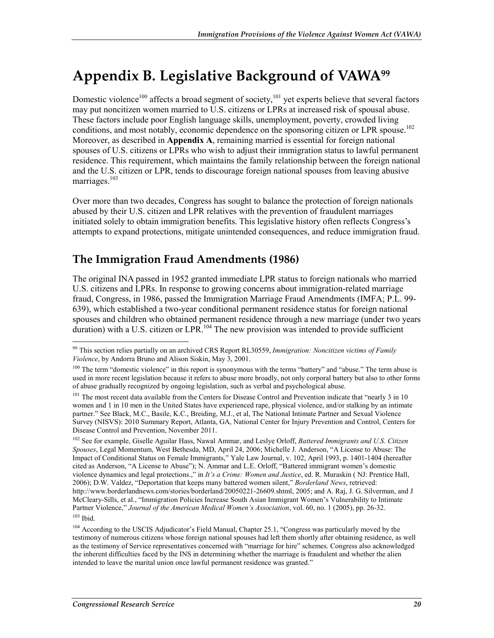## **Appendix B. Legislative Background of VAWA99**

Domestic violence<sup>100</sup> affects a broad segment of society,<sup>101</sup> yet experts believe that several factors may put noncitizen women married to U.S. citizens or LPRs at increased risk of spousal abuse. These factors include poor English language skills, unemployment, poverty, crowded living conditions, and most notably, economic dependence on the sponsoring citizen or LPR spouse.<sup>102</sup> Moreover, as described in **Appendix A**, remaining married is essential for foreign national spouses of U.S. citizens or LPRs who wish to adjust their immigration status to lawful permanent residence. This requirement, which maintains the family relationship between the foreign national and the U.S. citizen or LPR, tends to discourage foreign national spouses from leaving abusive marriages.<sup>103</sup>

Over more than two decades, Congress has sought to balance the protection of foreign nationals abused by their U.S. citizen and LPR relatives with the prevention of fraudulent marriages initiated solely to obtain immigration benefits. This legislative history often reflects Congress's attempts to expand protections, mitigate unintended consequences, and reduce immigration fraud.

### **The Immigration Fraud Amendments (1986)**

The original INA passed in 1952 granted immediate LPR status to foreign nationals who married U.S. citizens and LPRs. In response to growing concerns about immigration-related marriage fraud, Congress, in 1986, passed the Immigration Marriage Fraud Amendments (IMFA; P.L. 99- 639), which established a two-year conditional permanent residence status for foreign national spouses and children who obtained permanent residence through a new marriage (under two years duration) with a U.S. citizen or  $\text{LPR}$ <sup>104</sup>. The new provision was intended to provide sufficient

102 See for example, Giselle Aguilar Hass, Nawal Ammar, and Leslye Orloff, *Battered Immigrants and U.S. Citizen Spouses*, Legal Momentum, West Bethesda, MD, April 24, 2006; Michelle J. Anderson, "A License to Abuse: The Impact of Conditional Status on Female Immigrants," Yale Law Journal, v. 102, April 1993, p. 1401-1404 (hereafter cited as Anderson, "A License to Abuse"); N. Ammar and L.E. Orloff, "Battered immigrant women's domestic violence dynamics and legal protections.," in *It's a Crime: Women and Justice*, ed. R. Muraskin ( NJ: Prentice Hall, 2006); D.W. Valdez, "Deportation that keeps many battered women silent," *Borderland News*, retrieved: http://www.borderlandnews.com/stories/borderland/20050221-26609.shtml, 2005; and A. Raj, J. G. Silverman, and J McCleary-Sills, et al., "Immigration Policies Increase South Asian Immigrant Women's Vulnerability to Intimate Partner Violence," *Journal of the American Medical Women's Association*, vol. 60, no. 1 (2005), pp. 26-32. 103 Ibid.

<sup>1</sup> 99 This section relies partially on an archived CRS Report RL30559, *Immigration: Noncitizen victims of Family Violence*, by Andorra Bruno and Alison Siskin, May 3, 2001.

<sup>&</sup>lt;sup>100</sup> The term "domestic violence" in this report is synonymous with the terms "battery" and "abuse." The term abuse is used in more recent legislation because it refers to abuse more broadly, not only corporal battery but also to other forms of abuse gradually recognized by ongoing legislation, such as verbal and psychological abuse.

<sup>&</sup>lt;sup>101</sup> The most recent data available from the Centers for Disease Control and Prevention indicate that "nearly 3 in 10 women and 1 in 10 men in the United States have experienced rape, physical violence, and/or stalking by an intimate partner." See Black, M.C., Basile, K.C., Breiding, M.J., et al, The National Intimate Partner and Sexual Violence Survey (NISVS): 2010 Summary Report, Atlanta, GA, National Center for Injury Prevention and Control, Centers for Disease Control and Prevention, November 2011.

<sup>&</sup>lt;sup>104</sup> According to the USCIS Adjudicator's Field Manual, Chapter 25.1, "Congress was particularly moved by the testimony of numerous citizens whose foreign national spouses had left them shortly after obtaining residence, as well as the testimony of Service representatives concerned with "marriage for hire" schemes. Congress also acknowledged the inherent difficulties faced by the INS in determining whether the marriage is fraudulent and whether the alien intended to leave the marital union once lawful permanent residence was granted."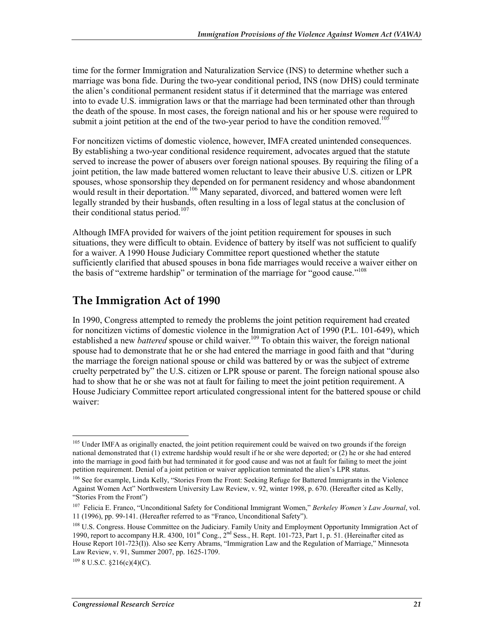time for the former Immigration and Naturalization Service (INS) to determine whether such a marriage was bona fide. During the two-year conditional period, INS (now DHS) could terminate the alien's conditional permanent resident status if it determined that the marriage was entered into to evade U.S. immigration laws or that the marriage had been terminated other than through the death of the spouse. In most cases, the foreign national and his or her spouse were required to submit a joint petition at the end of the two-year period to have the condition removed.<sup>105</sup>

For noncitizen victims of domestic violence, however, IMFA created unintended consequences. By establishing a two-year conditional residence requirement, advocates argued that the statute served to increase the power of abusers over foreign national spouses. By requiring the filing of a joint petition, the law made battered women reluctant to leave their abusive U.S. citizen or LPR spouses, whose sponsorship they depended on for permanent residency and whose abandonment would result in their deportation.<sup>106</sup> Many separated, divorced, and battered women were left legally stranded by their husbands, often resulting in a loss of legal status at the conclusion of their conditional status period.<sup>107</sup>

Although IMFA provided for waivers of the joint petition requirement for spouses in such situations, they were difficult to obtain. Evidence of battery by itself was not sufficient to qualify for a waiver. A 1990 House Judiciary Committee report questioned whether the statute sufficiently clarified that abused spouses in bona fide marriages would receive a waiver either on the basis of "extreme hardship" or termination of the marriage for "good cause."<sup>108</sup>

### **The Immigration Act of 1990**

In 1990, Congress attempted to remedy the problems the joint petition requirement had created for noncitizen victims of domestic violence in the Immigration Act of 1990 (P.L. 101-649), which established a new *battered* spouse or child waiver.<sup>109</sup> To obtain this waiver, the foreign national spouse had to demonstrate that he or she had entered the marriage in good faith and that "during the marriage the foreign national spouse or child was battered by or was the subject of extreme cruelty perpetrated by" the U.S. citizen or LPR spouse or parent. The foreign national spouse also had to show that he or she was not at fault for failing to meet the joint petition requirement. A House Judiciary Committee report articulated congressional intent for the battered spouse or child waiver:

<u>.</u>

<sup>&</sup>lt;sup>105</sup> Under IMFA as originally enacted, the joint petition requirement could be waived on two grounds if the foreign national demonstrated that (1) extreme hardship would result if he or she were deported; or (2) he or she had entered into the marriage in good faith but had terminated it for good cause and was not at fault for failing to meet the joint petition requirement. Denial of a joint petition or waiver application terminated the alien's LPR status.

<sup>&</sup>lt;sup>106</sup> See for example, Linda Kelly, "Stories From the Front: Seeking Refuge for Battered Immigrants in the Violence Against Women Act" Northwestern University Law Review, v. 92, winter 1998, p. 670. (Hereafter cited as Kelly, "Stories From the Front")

<sup>107</sup> Felicia E. Franco, "Unconditional Safety for Conditional Immigrant Women," *Berkeley Women's Law Journal*, vol. 11 (1996), pp. 99-141. (Hereafter referred to as "Franco, Unconditional Safety").

<sup>&</sup>lt;sup>108</sup> U.S. Congress. House Committee on the Judiciary. Family Unity and Employment Opportunity Immigration Act of 1990, report to accompany H.R. 4300, 101<sup>st</sup> Cong., 2<sup>nd</sup> Sess., H. Rept. 101-723, Part 1, p. 51. (Hereinafter cited as House Report 101-723(I)). Also see Kerry Abrams, "Immigration Law and the Regulation of Marriage," Minnesota Law Review, v. 91, Summer 2007, pp. 1625-1709.

 $1098$  U.S.C.  $$216(c)(4)(C)$ .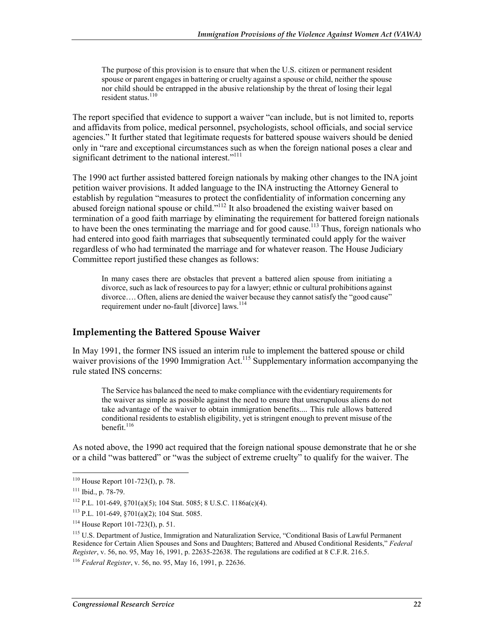The purpose of this provision is to ensure that when the U.S. citizen or permanent resident spouse or parent engages in battering or cruelty against a spouse or child, neither the spouse nor child should be entrapped in the abusive relationship by the threat of losing their legal resident status.<sup>110</sup>

The report specified that evidence to support a waiver "can include, but is not limited to, reports and affidavits from police, medical personnel, psychologists, school officials, and social service agencies." It further stated that legitimate requests for battered spouse waivers should be denied only in "rare and exceptional circumstances such as when the foreign national poses a clear and significant detriment to the national interest."<sup>111</sup>

The 1990 act further assisted battered foreign nationals by making other changes to the INA joint petition waiver provisions. It added language to the INA instructing the Attorney General to establish by regulation "measures to protect the confidentiality of information concerning any abused foreign national spouse or child."<sup>112</sup> It also broadened the existing waiver based on termination of a good faith marriage by eliminating the requirement for battered foreign nationals to have been the ones terminating the marriage and for good cause.<sup>113</sup> Thus, foreign nationals who had entered into good faith marriages that subsequently terminated could apply for the waiver regardless of who had terminated the marriage and for whatever reason. The House Judiciary Committee report justified these changes as follows:

In many cases there are obstacles that prevent a battered alien spouse from initiating a divorce, such as lack of resources to pay for a lawyer; ethnic or cultural prohibitions against divorce…. Often, aliens are denied the waiver because they cannot satisfy the "good cause" requirement under no-fault [divorce] laws.<sup>114</sup>

#### **Implementing the Battered Spouse Waiver**

In May 1991, the former INS issued an interim rule to implement the battered spouse or child waiver provisions of the 1990 Immigration Act.<sup>115</sup> Supplementary information accompanying the rule stated INS concerns:

The Service has balanced the need to make compliance with the evidentiary requirements for the waiver as simple as possible against the need to ensure that unscrupulous aliens do not take advantage of the waiver to obtain immigration benefits.... This rule allows battered conditional residents to establish eligibility, yet is stringent enough to prevent misuse of the benefit.<sup>116</sup>

As noted above, the 1990 act required that the foreign national spouse demonstrate that he or she or a child "was battered" or "was the subject of extreme cruelty" to qualify for the waiver. The

 $110$  House Report 101-723(I), p. 78.

<sup>111</sup> Ibid., p. 78-79.

<sup>112</sup> P.L. 101-649, §701(a)(5); 104 Stat. 5085; 8 U.S.C. 1186a(c)(4).

<sup>113</sup> P.L. 101-649, §701(a)(2); 104 Stat. 5085.

 $114$  House Report 101-723(I), p. 51.

<sup>&</sup>lt;sup>115</sup> U.S. Department of Justice, Immigration and Naturalization Service, "Conditional Basis of Lawful Permanent Residence for Certain Alien Spouses and Sons and Daughters; Battered and Abused Conditional Residents," *Federal Register*, v. 56, no. 95, May 16, 1991, p. 22635-22638. The regulations are codified at 8 C.F.R. 216.5.

<sup>116</sup> *Federal Register*, v. 56, no. 95, May 16, 1991, p. 22636.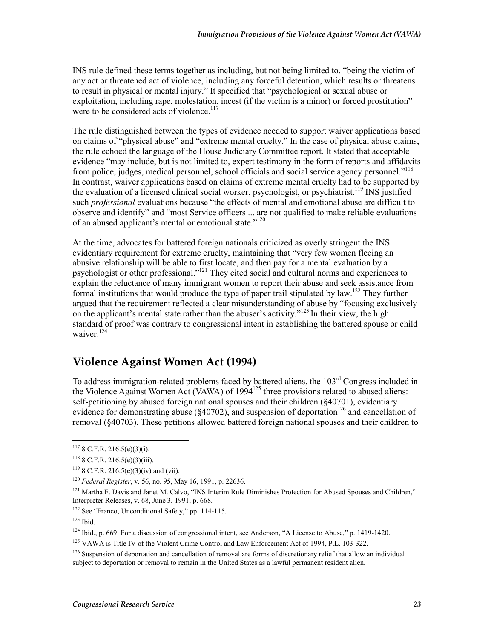INS rule defined these terms together as including, but not being limited to, "being the victim of any act or threatened act of violence, including any forceful detention, which results or threatens to result in physical or mental injury." It specified that "psychological or sexual abuse or exploitation, including rape, molestation, incest (if the victim is a minor) or forced prostitution" were to be considered acts of violence.<sup>117</sup>

The rule distinguished between the types of evidence needed to support waiver applications based on claims of "physical abuse" and "extreme mental cruelty." In the case of physical abuse claims, the rule echoed the language of the House Judiciary Committee report. It stated that acceptable evidence "may include, but is not limited to, expert testimony in the form of reports and affidavits from police, judges, medical personnel, school officials and social service agency personnel."118 In contrast, waiver applications based on claims of extreme mental cruelty had to be supported by the evaluation of a licensed clinical social worker, psychologist, or psychiatrist.<sup>119</sup> INS justified such *professional* evaluations because "the effects of mental and emotional abuse are difficult to observe and identify" and "most Service officers ... are not qualified to make reliable evaluations of an abused applicant's mental or emotional state."<sup>120</sup>

At the time, advocates for battered foreign nationals criticized as overly stringent the INS evidentiary requirement for extreme cruelty, maintaining that "very few women fleeing an abusive relationship will be able to first locate, and then pay for a mental evaluation by a psychologist or other professional."121 They cited social and cultural norms and experiences to explain the reluctance of many immigrant women to report their abuse and seek assistance from formal institutions that would produce the type of paper trail stipulated by law.<sup>122</sup> They further argued that the requirement reflected a clear misunderstanding of abuse by "focusing exclusively on the applicant's mental state rather than the abuser's activity."123 In their view, the high standard of proof was contrary to congressional intent in establishing the battered spouse or child waiver $124$ 

### **Violence Against Women Act (1994)**

To address immigration-related problems faced by battered aliens, the 103<sup>rd</sup> Congress included in the Violence Against Women Act (VAWA) of  $1994^{125}$  three provisions related to abused aliens: self-petitioning by abused foreign national spouses and their children (§40701), evidentiary evidence for demonstrating abuse ( $\S 40702$ ), and suspension of deportation<sup>126</sup> and cancellation of removal (§40703). These petitions allowed battered foreign national spouses and their children to

 $117$  8 C.F.R. 216.5(e)(3)(i).

 $118$  8 C.F.R. 216.5(e)(3)(iii).

 $119$  8 C.F.R. 216.5(e)(3)(iv) and (vii).

<sup>120</sup> *Federal Register*, v. 56, no. 95, May 16, 1991, p. 22636.

<sup>&</sup>lt;sup>121</sup> Martha F. Davis and Janet M. Calvo, "INS Interim Rule Diminishes Protection for Abused Spouses and Children," Interpreter Releases, v. 68, June 3, 1991, p. 668.

<sup>122</sup> See "Franco, Unconditional Safety," pp. 114-115.

 $123$  Ibid.

 $124$  Ibid., p. 669. For a discussion of congressional intent, see Anderson, "A License to Abuse," p. 1419-1420.

<sup>&</sup>lt;sup>125</sup> VAWA is Title IV of the Violent Crime Control and Law Enforcement Act of 1994, P.L. 103-322.

 $126$  Suspension of deportation and cancellation of removal are forms of discretionary relief that allow an individual subject to deportation or removal to remain in the United States as a lawful permanent resident alien.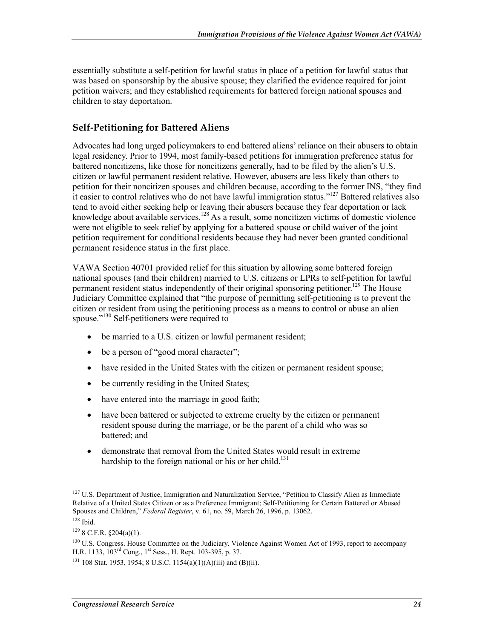essentially substitute a self-petition for lawful status in place of a petition for lawful status that was based on sponsorship by the abusive spouse; they clarified the evidence required for joint petition waivers; and they established requirements for battered foreign national spouses and children to stay deportation.

### **Self-Petitioning for Battered Aliens**

Advocates had long urged policymakers to end battered aliens' reliance on their abusers to obtain legal residency. Prior to 1994, most family-based petitions for immigration preference status for battered noncitizens, like those for noncitizens generally, had to be filed by the alien's U.S. citizen or lawful permanent resident relative. However, abusers are less likely than others to petition for their noncitizen spouses and children because, according to the former INS, "they find it easier to control relatives who do not have lawful immigration status."127 Battered relatives also tend to avoid either seeking help or leaving their abusers because they fear deportation or lack knowledge about available services.<sup>128</sup> As a result, some noncitizen victims of domestic violence were not eligible to seek relief by applying for a battered spouse or child waiver of the joint petition requirement for conditional residents because they had never been granted conditional permanent residence status in the first place.

VAWA Section 40701 provided relief for this situation by allowing some battered foreign national spouses (and their children) married to U.S. citizens or LPRs to self-petition for lawful permanent resident status independently of their original sponsoring petitioner.<sup>129</sup> The House Judiciary Committee explained that "the purpose of permitting self-petitioning is to prevent the citizen or resident from using the petitioning process as a means to control or abuse an alien spouse."130 Self-petitioners were required to

- be married to a U.S. citizen or lawful permanent resident;
- be a person of "good moral character";
- have resided in the United States with the citizen or permanent resident spouse;
- be currently residing in the United States;
- have entered into the marriage in good faith;
- have been battered or subjected to extreme cruelty by the citizen or permanent resident spouse during the marriage, or be the parent of a child who was so battered; and
- demonstrate that removal from the United States would result in extreme hardship to the foreign national or his or her child.<sup>131</sup>

<sup>1</sup> <sup>127</sup> U.S. Department of Justice, Immigration and Naturalization Service, "Petition to Classify Alien as Immediate Relative of a United States Citizen or as a Preference Immigrant; Self-Petitioning for Certain Battered or Abused Spouses and Children," *Federal Register*, v. 61, no. 59, March 26, 1996, p. 13062.

 $128$  Ibid.

 $129$  8 C.F.R. §204(a)(1).

<sup>&</sup>lt;sup>130</sup> U.S. Congress. House Committee on the Judiciary. Violence Against Women Act of 1993, report to accompany H.R. 1133, 103<sup>rd</sup> Cong., 1<sup>st</sup> Sess., H. Rept. 103-395, p. 37.

 $131$  108 Stat. 1953, 1954; 8 U.S.C. 1154(a)(1)(A)(iii) and (B)(ii).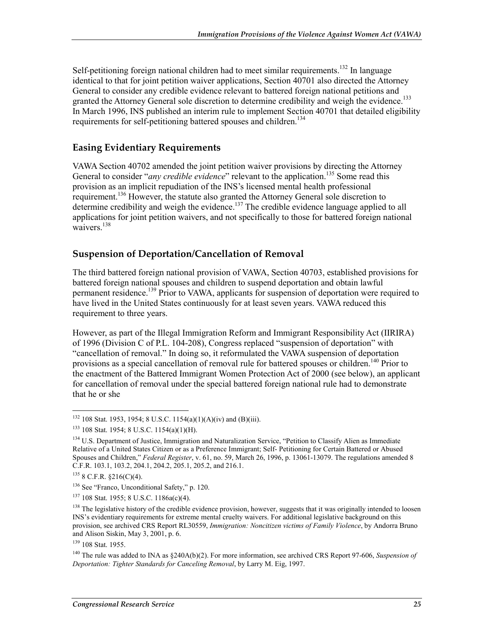Self-petitioning foreign national children had to meet similar requirements.<sup>132</sup> In language identical to that for joint petition waiver applications, Section 40701 also directed the Attorney General to consider any credible evidence relevant to battered foreign national petitions and granted the Attorney General sole discretion to determine credibility and weigh the evidence.<sup>133</sup> In March 1996, INS published an interim rule to implement Section 40701 that detailed eligibility requirements for self-petitioning battered spouses and children.<sup>134</sup>

#### **Easing Evidentiary Requirements**

VAWA Section 40702 amended the joint petition waiver provisions by directing the Attorney General to consider "*any credible evidence*" relevant to the application.<sup>135</sup> Some read this provision as an implicit repudiation of the INS's licensed mental health professional requirement.<sup>136</sup> However, the statute also granted the Attorney General sole discretion to determine credibility and weigh the evidence.<sup>137</sup> The credible evidence language applied to all applications for joint petition waivers, and not specifically to those for battered foreign national waivers.<sup>138</sup>

#### **Suspension of Deportation/Cancellation of Removal**

The third battered foreign national provision of VAWA, Section 40703, established provisions for battered foreign national spouses and children to suspend deportation and obtain lawful permanent residence.<sup>139</sup> Prior to VAWA, applicants for suspension of deportation were required to have lived in the United States continuously for at least seven years. VAWA reduced this requirement to three years.

However, as part of the Illegal Immigration Reform and Immigrant Responsibility Act (IIRIRA) of 1996 (Division C of P.L. 104-208), Congress replaced "suspension of deportation" with "cancellation of removal." In doing so, it reformulated the VAWA suspension of deportation provisions as a special cancellation of removal rule for battered spouses or children.<sup>140</sup> Prior to the enactment of the Battered Immigrant Women Protection Act of 2000 (see below), an applicant for cancellation of removal under the special battered foreign national rule had to demonstrate that he or she

<sup>1</sup>  $132$  108 Stat. 1953, 1954; 8 U.S.C. 1154(a)(1)(A)(iv) and (B)(iii).

<sup>133 108</sup> Stat. 1954; 8 U.S.C. 1154(a)(1)(H).

<sup>&</sup>lt;sup>134</sup> U.S. Department of Justice, Immigration and Naturalization Service, "Petition to Classify Alien as Immediate Relative of a United States Citizen or as a Preference Immigrant; Self- Petitioning for Certain Battered or Abused Spouses and Children," *Federal Register*, v. 61, no. 59, March 26, 1996, p. 13061-13079. The regulations amended 8 C.F.R. 103.1, 103.2, 204.1, 204.2, 205.1, 205.2, and 216.1.

 $135$  8 C.F.R.  $$216(C)(4)$ .

<sup>136</sup> See "Franco, Unconditional Safety," p. 120.

<sup>137 108</sup> Stat. 1955; 8 U.S.C. 1186a(c)(4).

<sup>&</sup>lt;sup>138</sup> The legislative history of the credible evidence provision, however, suggests that it was originally intended to loosen INS's evidentiary requirements for extreme mental cruelty waivers. For additional legislative background on this provision, see archived CRS Report RL30559, *Immigration: Noncitizen victims of Family Violence*, by Andorra Bruno and Alison Siskin, May 3, 2001, p. 6.

<sup>139 108</sup> Stat. 1955.

<sup>140</sup> The rule was added to INA as §240A(b)(2). For more information, see archived CRS Report 97-606, *Suspension of Deportation: Tighter Standards for Canceling Removal*, by Larry M. Eig, 1997.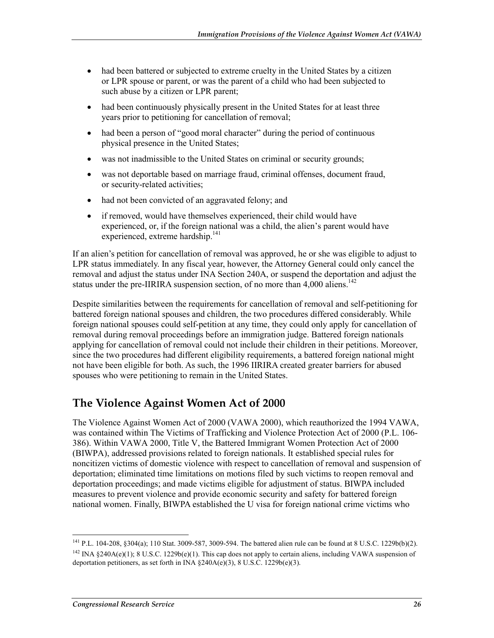- had been battered or subjected to extreme cruelty in the United States by a citizen or LPR spouse or parent, or was the parent of a child who had been subjected to such abuse by a citizen or LPR parent;
- had been continuously physically present in the United States for at least three years prior to petitioning for cancellation of removal;
- had been a person of "good moral character" during the period of continuous physical presence in the United States;
- was not inadmissible to the United States on criminal or security grounds;
- was not deportable based on marriage fraud, criminal offenses, document fraud, or security-related activities;
- had not been convicted of an aggravated felony; and
- if removed, would have themselves experienced, their child would have experienced, or, if the foreign national was a child, the alien's parent would have experienced, extreme hardship.<sup>141</sup>

If an alien's petition for cancellation of removal was approved, he or she was eligible to adjust to LPR status immediately. In any fiscal year, however, the Attorney General could only cancel the removal and adjust the status under INA Section 240A, or suspend the deportation and adjust the status under the pre-IIRIRA suspension section, of no more than  $4,000$  aliens.<sup>142</sup>

Despite similarities between the requirements for cancellation of removal and self-petitioning for battered foreign national spouses and children, the two procedures differed considerably. While foreign national spouses could self-petition at any time, they could only apply for cancellation of removal during removal proceedings before an immigration judge. Battered foreign nationals applying for cancellation of removal could not include their children in their petitions. Moreover, since the two procedures had different eligibility requirements, a battered foreign national might not have been eligible for both. As such, the 1996 IIRIRA created greater barriers for abused spouses who were petitioning to remain in the United States.

### **The Violence Against Women Act of 2000**

The Violence Against Women Act of 2000 (VAWA 2000), which reauthorized the 1994 VAWA, was contained within The Victims of Trafficking and Violence Protection Act of 2000 (P.L. 106- 386). Within VAWA 2000, Title V, the Battered Immigrant Women Protection Act of 2000 (BIWPA), addressed provisions related to foreign nationals. It established special rules for noncitizen victims of domestic violence with respect to cancellation of removal and suspension of deportation; eliminated time limitations on motions filed by such victims to reopen removal and deportation proceedings; and made victims eligible for adjustment of status. BIWPA included measures to prevent violence and provide economic security and safety for battered foreign national women. Finally, BIWPA established the U visa for foreign national crime victims who

<sup>&</sup>lt;sup>141</sup> P.L. 104-208, §304(a); 110 Stat. 3009-587, 3009-594. The battered alien rule can be found at 8 U.S.C. 1229b(b)(2). <sup>142</sup> INA §240A(e)(1); 8 U.S.C. 1229b(e)(1). This cap does not apply to certain aliens, including VAWA suspension of deportation petitioners, as set forth in  $\overline{INA}$  §240A(e)(3), 8 U.S.C. 1229b(e)(3).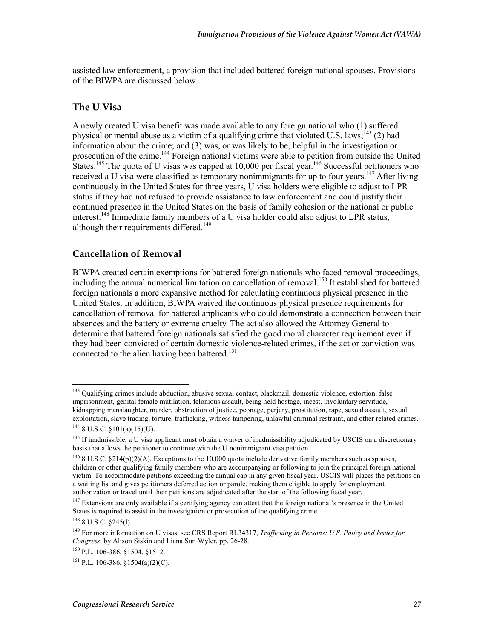assisted law enforcement, a provision that included battered foreign national spouses. Provisions of the BIWPA are discussed below.

#### **The U Visa**

A newly created U visa benefit was made available to any foreign national who (1) suffered physical or mental abuse as a victim of a qualifying crime that violated U.S. laws;<sup>143</sup> (2) had information about the crime; and (3) was, or was likely to be, helpful in the investigation or prosecution of the crime.<sup>144</sup> Foreign national victims were able to petition from outside the United States.<sup>145</sup> The quota of U visas was capped at 10,000 per fiscal year.<sup>146</sup> Successful petitioners who received a U visa were classified as temporary nonimmigrants for up to four years.<sup>147</sup> After living continuously in the United States for three years, U visa holders were eligible to adjust to LPR status if they had not refused to provide assistance to law enforcement and could justify their continued presence in the United States on the basis of family cohesion or the national or public interest.<sup>148</sup> Immediate family members of a U visa holder could also adjust to LPR status, although their requirements differed.<sup>149</sup>

#### **Cancellation of Removal**

BIWPA created certain exemptions for battered foreign nationals who faced removal proceedings, including the annual numerical limitation on cancellation of removal.<sup>150</sup> It established for battered foreign nationals a more expansive method for calculating continuous physical presence in the United States. In addition, BIWPA waived the continuous physical presence requirements for cancellation of removal for battered applicants who could demonstrate a connection between their absences and the battery or extreme cruelty. The act also allowed the Attorney General to determine that battered foreign nationals satisfied the good moral character requirement even if they had been convicted of certain domestic violence-related crimes, if the act or conviction was connected to the alien having been battered.<sup>151</sup>

<u>.</u>

<sup>&</sup>lt;sup>143</sup> Qualifying crimes include abduction, abusive sexual contact, blackmail, domestic violence, extortion, false imprisonment, genital female mutilation, felonious assault, being held hostage, incest, involuntary servitude, kidnapping manslaughter, murder, obstruction of justice, peonage, perjury, prostitution, rape, sexual assault, sexual exploitation, slave trading, torture, trafficking, witness tampering, unlawful criminal restraint, and other related crimes.  $144$  8 U.S.C. §101(a)(15)(U).

 $145$  If inadmissible, a U visa applicant must obtain a waiver of inadmissibility adjudicated by USCIS on a discretionary basis that allows the petitioner to continue with the U nonimmigrant visa petition.

 $146$  8 U.S.C. §214(p)(2)(A). Exceptions to the 10,000 quota include derivative family members such as spouses, children or other qualifying family members who are accompanying or following to join the principal foreign national victim. To accommodate petitions exceeding the annual cap in any given fiscal year, USCIS will places the petitions on a waiting list and gives petitioners deferred action or parole, making them eligible to apply for employment authorization or travel until their petitions are adjudicated after the start of the following fiscal year.

<sup>&</sup>lt;sup>147</sup> Extensions are only available if a certifying agency can attest that the foreign national's presence in the United States is required to assist in the investigation or prosecution of the qualifying crime.

 $148$  8 U.S.C.  $$245(l)$ .

<sup>149</sup> For more information on U visas, see CRS Report RL34317, *Trafficking in Persons: U.S. Policy and Issues for Congress*, by Alison Siskin and Liana Sun Wyler, pp. 26-28.

<sup>150</sup> P.L. 106-386, §1504, §1512.

<sup>&</sup>lt;sup>151</sup> P.L. 106-386,  $$1504(a)(2)(C)$ .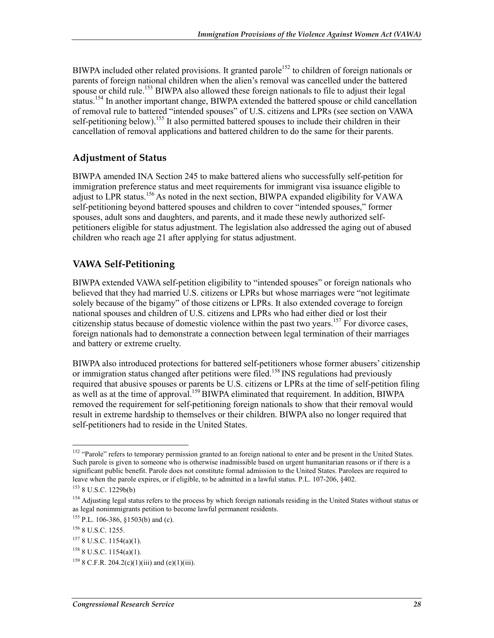BIWPA included other related provisions. It granted parole<sup>152</sup> to children of foreign nationals or parents of foreign national children when the alien's removal was cancelled under the battered spouse or child rule.<sup>153</sup> BIWPA also allowed these foreign nationals to file to adjust their legal status.<sup>154</sup> In another important change, BIWPA extended the battered spouse or child cancellation of removal rule to battered "intended spouses" of U.S. citizens and LPRs (see section on VAWA self-petitioning below).<sup>155</sup> It also permitted battered spouses to include their children in their cancellation of removal applications and battered children to do the same for their parents.

### **Adjustment of Status**

BIWPA amended INA Section 245 to make battered aliens who successfully self-petition for immigration preference status and meet requirements for immigrant visa issuance eligible to adjust to LPR status.<sup>156</sup> As noted in the next section, BIWPA expanded eligibility for VAWA self-petitioning beyond battered spouses and children to cover "intended spouses," former spouses, adult sons and daughters, and parents, and it made these newly authorized selfpetitioners eligible for status adjustment. The legislation also addressed the aging out of abused children who reach age 21 after applying for status adjustment.

### **VAWA Self-Petitioning**

BIWPA extended VAWA self-petition eligibility to "intended spouses" or foreign nationals who believed that they had married U.S. citizens or LPRs but whose marriages were "not legitimate solely because of the bigamy" of those citizens or LPRs. It also extended coverage to foreign national spouses and children of U.S. citizens and LPRs who had either died or lost their citizenship status because of domestic violence within the past two years.<sup>157</sup> For divorce cases, foreign nationals had to demonstrate a connection between legal termination of their marriages and battery or extreme cruelty.

BIWPA also introduced protections for battered self-petitioners whose former abusers' citizenship or immigration status changed after petitions were filed.<sup>158</sup> INS regulations had previously required that abusive spouses or parents be U.S. citizens or LPRs at the time of self-petition filing as well as at the time of approval.<sup>159</sup> BIWPA eliminated that requirement. In addition, BIWPA removed the requirement for self-petitioning foreign nationals to show that their removal would result in extreme hardship to themselves or their children. BIWPA also no longer required that self-petitioners had to reside in the United States.

<sup>&</sup>lt;sup>152</sup> "Parole" refers to temporary permission granted to an foreign national to enter and be present in the United States. Such parole is given to someone who is otherwise inadmissible based on urgent humanitarian reasons or if there is a significant public benefit. Parole does not constitute formal admission to the United States. Parolees are required to leave when the parole expires, or if eligible, to be admitted in a lawful status. P.L. 107-206, §402.

<sup>153 8</sup> U.S.C. 1229b(b)

<sup>&</sup>lt;sup>154</sup> Adjusting legal status refers to the process by which foreign nationals residing in the United States without status or as legal nonimmigrants petition to become lawful permanent residents.

<sup>155</sup> P.L. 106-386, §1503(b) and (c).

<sup>156 8</sup> U.S.C. 1255.

<sup>157 8</sup> U.S.C. 1154(a)(1).

<sup>158 8</sup> U.S.C. 1154(a)(1).

 $159$  8 C.F.R. 204.2(c)(1)(iii) and (e)(1)(iii).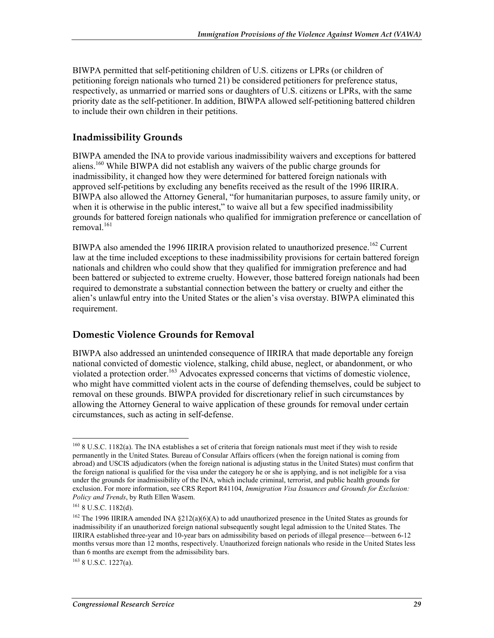BIWPA permitted that self-petitioning children of U.S. citizens or LPRs (or children of petitioning foreign nationals who turned 21) be considered petitioners for preference status, respectively, as unmarried or married sons or daughters of U.S. citizens or LPRs, with the same priority date as the self-petitioner.In addition, BIWPA allowed self-petitioning battered children to include their own children in their petitions.

#### **Inadmissibility Grounds**

BIWPA amended the INA to provide various inadmissibility waivers and exceptions for battered aliens.160 While BIWPA did not establish any waivers of the public charge grounds for inadmissibility, it changed how they were determined for battered foreign nationals with approved self-petitions by excluding any benefits received as the result of the 1996 IIRIRA. BIWPA also allowed the Attorney General, "for humanitarian purposes, to assure family unity, or when it is otherwise in the public interest," to waive all but a few specified inadmissibility grounds for battered foreign nationals who qualified for immigration preference or cancellation of  $removal.<sup>161</sup>$ 

BIWPA also amended the 1996 IIRIRA provision related to unauthorized presence.<sup>162</sup> Current law at the time included exceptions to these inadmissibility provisions for certain battered foreign nationals and children who could show that they qualified for immigration preference and had been battered or subjected to extreme cruelty. However, those battered foreign nationals had been required to demonstrate a substantial connection between the battery or cruelty and either the alien's unlawful entry into the United States or the alien's visa overstay. BIWPA eliminated this requirement.

#### **Domestic Violence Grounds for Removal**

BIWPA also addressed an unintended consequence of IIRIRA that made deportable any foreign national convicted of domestic violence, stalking, child abuse, neglect, or abandonment, or who violated a protection order.<sup>163</sup> Advocates expressed concerns that victims of domestic violence, who might have committed violent acts in the course of defending themselves, could be subject to removal on these grounds. BIWPA provided for discretionary relief in such circumstances by allowing the Attorney General to waive application of these grounds for removal under certain circumstances, such as acting in self-defense.

<u>.</u>

 $163$  8 U.S.C. 1227(a).

<sup>&</sup>lt;sup>160</sup> 8 U.S.C. 1182(a). The INA establishes a set of criteria that foreign nationals must meet if they wish to reside permanently in the United States. Bureau of Consular Affairs officers (when the foreign national is coming from abroad) and USCIS adjudicators (when the foreign national is adjusting status in the United States) must confirm that the foreign national is qualified for the visa under the category he or she is applying, and is not ineligible for a visa under the grounds for inadmissibility of the INA, which include criminal, terrorist, and public health grounds for exclusion. For more information, see CRS Report R41104, *Immigration Visa Issuances and Grounds for Exclusion: Policy and Trends*, by Ruth Ellen Wasem.

<sup>161 8</sup> U.S.C. 1182(d).

<sup>&</sup>lt;sup>162</sup> The 1996 IIRIRA amended INA §212(a)(6)(A) to add unauthorized presence in the United States as grounds for inadmissibility if an unauthorized foreign national subsequently sought legal admission to the United States. The IIRIRA established three-year and 10-year bars on admissibility based on periods of illegal presence—between 6-12 months versus more than 12 months, respectively. Unauthorized foreign nationals who reside in the United States less than 6 months are exempt from the admissibility bars.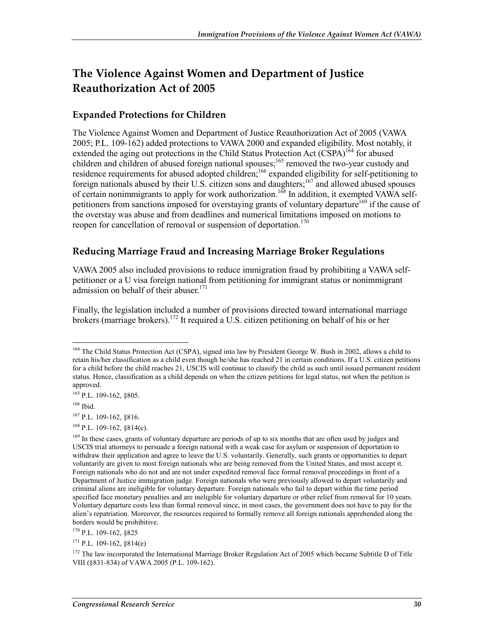## **The Violence Against Women and Department of Justice Reauthorization Act of 2005**

### **Expanded Protections for Children**

The Violence Against Women and Department of Justice Reauthorization Act of 2005 (VAWA 2005; P.L. 109-162) added protections to VAWA 2000 and expanded eligibility. Most notably, it extended the aging out protections in the Child Status Protection Act (CSPA)<sup>164</sup> for abused children and children of abused foreign national spouses;<sup>165</sup> removed the two-year custody and residence requirements for abused adopted children;<sup>166</sup> expanded eligibility for self-petitioning to foreign nationals abused by their U.S. citizen sons and daughters;<sup>167</sup> and allowed abused spouses of certain nonimmigrants to apply for work authorization.<sup>168</sup> In addition, it exempted VAWA selfpetitioners from sanctions imposed for overstaying grants of voluntary departure<sup>169</sup> if the cause of the overstay was abuse and from deadlines and numerical limitations imposed on motions to reopen for cancellation of removal or suspension of deportation.<sup>170</sup>

### **Reducing Marriage Fraud and Increasing Marriage Broker Regulations**

VAWA 2005 also included provisions to reduce immigration fraud by prohibiting a VAWA selfpetitioner or a U visa foreign national from petitioning for immigrant status or nonimmigrant admission on behalf of their abuser.<sup>171</sup>

Finally, the legislation included a number of provisions directed toward international marriage brokers (marriage brokers).<sup>172</sup> It required a U.S. citizen petitioning on behalf of his or her

165 P.L. 109-162, §805.

166 Ibid.

1

167 P.L. 109-162, §816.

 $168$  P.L. 109-162,  $8814(c)$ .

170 P.L. 109-162, §825

<sup>&</sup>lt;sup>164</sup> The Child Status Protection Act (CSPA), signed into law by President George W. Bush in 2002, allows a child to retain his/her classification as a child even though he/she has reached 21 in certain conditions. If a U.S. citizen petitions for a child before the child reaches 21, USCIS will continue to classify the child as such until issued permanent resident status. Hence, classification as a child depends on when the citizen petitions for legal status, not when the petition is approved.

<sup>&</sup>lt;sup>169</sup> In these cases, grants of voluntary departure are periods of up to six months that are often used by judges and USCIS trial attorneys to persuade a foreign national with a weak case for asylum or suspension of deportation to withdraw their application and agree to leave the U.S. voluntarily. Generally, such grants or opportunities to depart voluntarily are given to most foreign nationals who are being removed from the United States, and most accept it. Foreign nationals who do not and are not under expedited removal face formal removal proceedings in front of a Department of Justice immigration judge. Foreign nationals who were previously allowed to depart voluntarily and criminal aliens are ineligible for voluntary departure. Foreign nationals who fail to depart within the time period specified face monetary penalties and are ineligible for voluntary departure or other relief from removal for 10 years. Voluntary departure costs less than formal removal since, in most cases, the government does not have to pay for the alien's repatriation. Moreover, the resources required to formally remove all foreign nationals apprehended along the borders would be prohibitive.

 $171$  P.L. 109-162,  $814(e)$ 

 $172$  The law incorporated the International Marriage Broker Regulation Act of 2005 which became Subtitle D of Title VIII (§831-834) of VAWA 2005 (P.L. 109-162).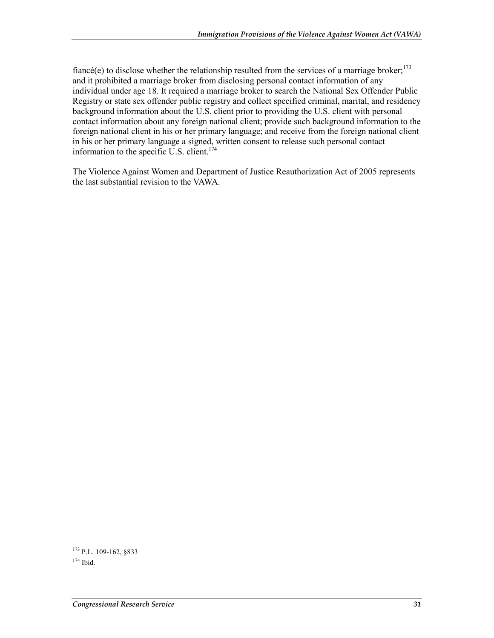fiancé(e) to disclose whether the relationship resulted from the services of a marriage broker; $^{173}$ and it prohibited a marriage broker from disclosing personal contact information of any individual under age 18. It required a marriage broker to search the National Sex Offender Public Registry or state sex offender public registry and collect specified criminal, marital, and residency background information about the U.S. client prior to providing the U.S. client with personal contact information about any foreign national client; provide such background information to the foreign national client in his or her primary language; and receive from the foreign national client in his or her primary language a signed, written consent to release such personal contact information to the specific U.S. client.<sup>174</sup>

The Violence Against Women and Department of Justice Reauthorization Act of 2005 represents the last substantial revision to the VAWA.

<sup>1</sup> <sup>173</sup> P.L. 109-162, §833

 $174$  Ibid.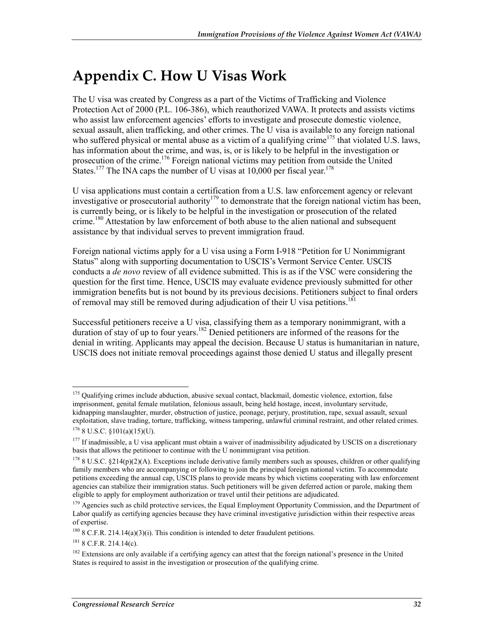## **Appendix C. How U Visas Work**

The U visa was created by Congress as a part of the Victims of Trafficking and Violence Protection Act of 2000 (P.L. 106-386), which reauthorized VAWA. It protects and assists victims who assist law enforcement agencies' efforts to investigate and prosecute domestic violence, sexual assault, alien trafficking, and other crimes. The U visa is available to any foreign national who suffered physical or mental abuse as a victim of a qualifying crime<sup>175</sup> that violated U.S. laws, has information about the crime, and was, is, or is likely to be helpful in the investigation or prosecution of the crime.<sup>176</sup> Foreign national victims may petition from outside the United States.<sup>177</sup> The INA caps the number of U visas at 10,000 per fiscal year.<sup>178</sup>

U visa applications must contain a certification from a U.S. law enforcement agency or relevant investigative or prosecutorial authority<sup>179</sup> to demonstrate that the foreign national victim has been, is currently being, or is likely to be helpful in the investigation or prosecution of the related crime.<sup>180</sup> Attestation by law enforcement of both abuse to the alien national and subsequent assistance by that individual serves to prevent immigration fraud.

Foreign national victims apply for a U visa using a Form I-918 "Petition for U Nonimmigrant Status" along with supporting documentation to USCIS's Vermont Service Center. USCIS conducts a *de novo* review of all evidence submitted. This is as if the VSC were considering the question for the first time. Hence, USCIS may evaluate evidence previously submitted for other immigration benefits but is not bound by its previous decisions. Petitioners subject to final orders of removal may still be removed during adjudication of their U visa petitions.<sup>181</sup>

Successful petitioners receive a U visa, classifying them as a temporary nonimmigrant, with a duration of stay of up to four years.<sup>182</sup> Denied petitioners are informed of the reasons for the denial in writing. Applicants may appeal the decision. Because U status is humanitarian in nature, USCIS does not initiate removal proceedings against those denied U status and illegally present

<u>.</u>

<sup>&</sup>lt;sup>175</sup> Qualifying crimes include abduction, abusive sexual contact, blackmail, domestic violence, extortion, false imprisonment, genital female mutilation, felonious assault, being held hostage, incest, involuntary servitude, kidnapping manslaughter, murder, obstruction of justice, peonage, perjury, prostitution, rape, sexual assault, sexual exploitation, slave trading, torture, trafficking, witness tampering, unlawful criminal restraint, and other related crimes.  $176$  8 U.S.C.  $$101(a)(15)(U)$ .

 $177$  If inadmissible, a U visa applicant must obtain a waiver of inadmissibility adjudicated by USCIS on a discretionary basis that allows the petitioner to continue with the U nonimmigrant visa petition.

 $178$  8 U.S.C. §214(p)(2)(A). Exceptions include derivative family members such as spouses, children or other qualifying family members who are accompanying or following to join the principal foreign national victim. To accommodate petitions exceeding the annual cap, USCIS plans to provide means by which victims cooperating with law enforcement agencies can stabilize their immigration status. Such petitioners will be given deferred action or parole, making them eligible to apply for employment authorization or travel until their petitions are adjudicated.

<sup>&</sup>lt;sup>179</sup> Agencies such as child protective services, the Equal Employment Opportunity Commission, and the Department of Labor qualify as certifying agencies because they have criminal investigative jurisdiction within their respective areas of expertise.

 $180$  8 C.F.R. 214.14(a)(3)(i). This condition is intended to deter fraudulent petitions.

<sup>181 8</sup> C.F.R. 214.14(c).

 $182$  Extensions are only available if a certifying agency can attest that the foreign national's presence in the United States is required to assist in the investigation or prosecution of the qualifying crime.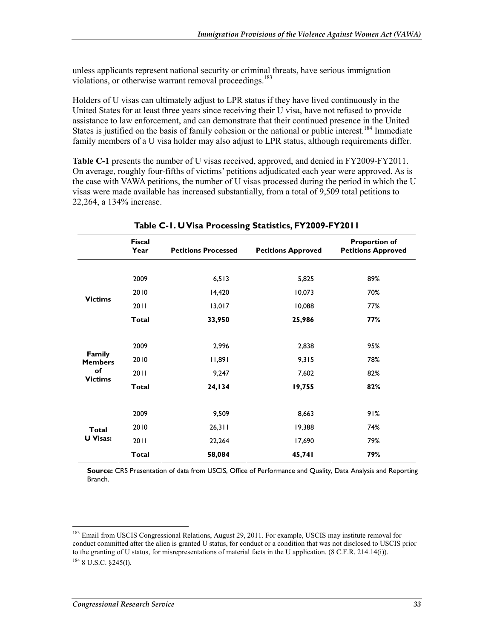unless applicants represent national security or criminal threats, have serious immigration violations, or otherwise warrant removal proceedings.<sup>183</sup>

Holders of U visas can ultimately adjust to LPR status if they have lived continuously in the United States for at least three years since receiving their U visa, have not refused to provide assistance to law enforcement, and can demonstrate that their continued presence in the United States is justified on the basis of family cohesion or the national or public interest.<sup>184</sup> Immediate family members of a U visa holder may also adjust to LPR status, although requirements differ.

**Table C-1** presents the number of U visas received, approved, and denied in FY2009-FY2011. On average, roughly four-fifths of victims' petitions adjudicated each year were approved. As is the case with VAWA petitions, the number of U visas processed during the period in which the U visas were made available has increased substantially, from a total of 9,509 total petitions to 22,264, a 134% increase.

|                                                  | <b>Fiscal</b><br>Year | <b>Petitions Processed</b> | <b>Petitions Approved</b> | <b>Proportion of</b><br><b>Petitions Approved</b> |
|--------------------------------------------------|-----------------------|----------------------------|---------------------------|---------------------------------------------------|
| <b>Victims</b>                                   | 2009                  | 6, 513                     | 5,825                     | 89%                                               |
|                                                  | 2010                  | 14,420                     | 10,073                    | 70%                                               |
|                                                  | 2011                  | 13,017                     | 10,088                    | 77%                                               |
|                                                  | <b>Total</b>          | 33,950                     | 25,986                    | 77%                                               |
|                                                  |                       |                            |                           |                                                   |
| Family<br><b>Members</b><br>of<br><b>Victims</b> | 2009                  | 2,996                      | 2,838                     | 95%                                               |
|                                                  | 2010                  | 11,891                     | 9,315                     | 78%                                               |
|                                                  | 2011                  | 9,247                      | 7,602                     | 82%                                               |
|                                                  | <b>Total</b>          | 24,134                     | 19,755                    | 82%                                               |
|                                                  |                       |                            |                           |                                                   |
| <b>Total</b><br><b>U</b> Visas:                  | 2009                  | 9,509                      | 8,663                     | 91%                                               |
|                                                  | 2010                  | 26,311                     | 19,388                    | 74%                                               |
|                                                  | 2011                  | 22,264                     | 17,690                    | 79%                                               |
|                                                  | <b>Total</b>          | 58,084                     | 45,741                    | 79%                                               |

**Table C-1. U Visa Processing Statistics, FY2009-FY2011** 

**Source:** CRS Presentation of data from USCIS, Office of Performance and Quality, Data Analysis and Reporting Branch.

<sup>1</sup> <sup>183</sup> Email from USCIS Congressional Relations, August 29, 2011. For example, USCIS may institute removal for conduct committed after the alien is granted U status, for conduct or a condition that was not disclosed to USCIS prior to the granting of U status, for misrepresentations of material facts in the U application. (8 C.F.R. 214.14(i)). 184 8 U.S.C. §245(l).